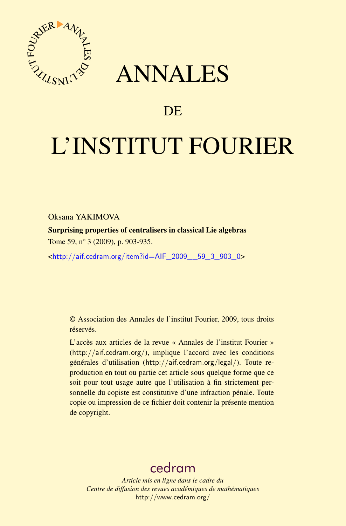

## ANNALES

## **DE**

# L'INSTITUT FOURIER

Oksana YAKIMOVA

Surprising properties of centralisers in classical Lie algebras Tome 59, n<sup>o</sup> 3 (2009), p. 903-935.

<[http://aif.cedram.org/item?id=AIF\\_2009\\_\\_59\\_3\\_903\\_0](http://aif.cedram.org/item?id=AIF_2009__59_3_903_0)>

© Association des Annales de l'institut Fourier, 2009, tous droits réservés.

L'accès aux articles de la revue « Annales de l'institut Fourier » (<http://aif.cedram.org/>), implique l'accord avec les conditions générales d'utilisation (<http://aif.cedram.org/legal/>). Toute reproduction en tout ou partie cet article sous quelque forme que ce soit pour tout usage autre que l'utilisation à fin strictement personnelle du copiste est constitutive d'une infraction pénale. Toute copie ou impression de ce fichier doit contenir la présente mention de copyright.

## [cedram](http://www.cedram.org/)

*Article mis en ligne dans le cadre du Centre de diffusion des revues académiques de mathématiques* <http://www.cedram.org/>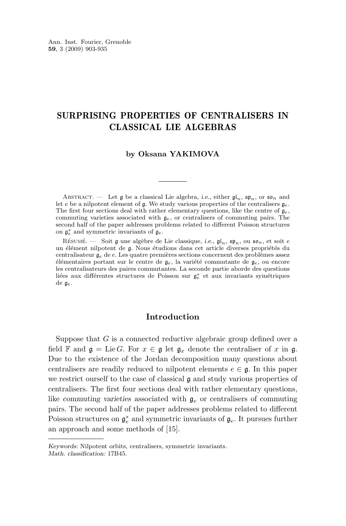#### SURPRISING PROPERTIES OF CENTRALISERS IN CLASSICAL LIE ALGEBRAS

#### **by Oksana YAKIMOVA**

ABSTRACT. — Let  $\mathfrak g$  be a classical Lie algebra, *i.e.*, either  $\mathfrak{gl}_n$ ,  $\mathfrak{sp}_n$ , or  $\mathfrak{so}_n$  and let e be a nilpotent element of g. We study various properties of the centralisers  $g_e$ . The first four sections deal with rather elementary questions, like the centre of  $g_e$ , commuting varieties associated with  $g_e$ , or centralisers of commuting pairs. The second half of the paper addresses problems related to different Poisson structures on  $\mathfrak{g}_e^*$  and symmetric invariants of  $\mathfrak{g}_e$ .

Résumé. — Soit  $\mathfrak g$  une algèbre de Lie classique, *i.e.*,  $\mathfrak{gl}_n$ ,  $\mathfrak{sp}_n$ , ou  $\mathfrak{so}_n$ , et soit e un élément nilpotent de g. Nous étudions dans cet article diverses propriétés du centralisateur g<sup>e</sup> de e. Les quatre premières sections concernent des problèmes assez élémentaires portant sur le centre de ge, la variété commutante de ge, ou encore les centralisateurs des paires commutantes. La seconde partie aborde des questions liées aux différentes structures de Poisson sur  $\mathfrak{g}^*_e$  et aux invariants symétriques de ge.

#### **Introduction**

Suppose that G is a connected reductive algebraic group defined over a field **F** and  $\mathfrak{g} = \text{Lie } G$ . For  $x \in \mathfrak{g}$  let  $\mathfrak{g}_x$  denote the centraliser of x in  $\mathfrak{g}$ . Due to the existence of the Jordan decomposition many questions about centralisers are readily reduced to nilpotent elements  $e \in \mathfrak{g}$ . In this paper we restrict ourself to the case of classical g and study various properties of centralisers. The first four sections deal with rather elementary questions, like *commuting varieties* associated with g<sup>e</sup> or centralisers of commuting pairs. The second half of the paper addresses problems related to different Poisson structures on  $\mathfrak{g}_e^*$  and symmetric invariants of  $\mathfrak{g}_e$ . It pursues further an approach and some methods of [\[15\]](#page-32-0).

*Keywords:* Nilpotent orbits, centralisers, symmetric invariants. *Math. classification:* 17B45.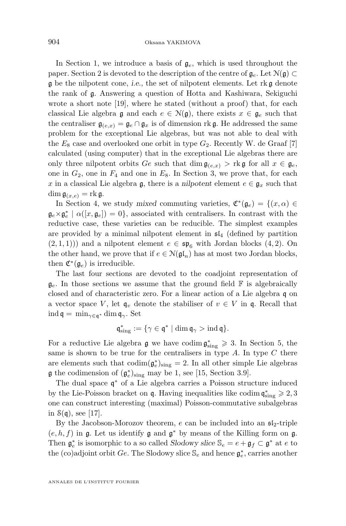In Section [1,](#page-4-0) we introduce a basis of  $g_e$ , which is used throughout the paper. Section [2](#page-7-0) is devoted to the description of the centre of  $\mathfrak{g}_e$ . Let  $\mathcal{N}(\mathfrak{g}) \subset$ g be the nilpotent cone, *i.e.,* the set of nilpotent elements. Let rk g denote the rank of g. Answering a question of Hotta and Kashiwara, Sekiguchi wrote a short note [\[19\]](#page-32-0), where he stated (without a proof) that, for each classical Lie algebra  $\mathfrak g$  and each  $e \in \mathcal N(\mathfrak g)$ , there exists  $x \in \mathfrak g_e$  such that the centraliser  $\mathfrak{g}_{(e,x)} = \mathfrak{g}_e \cap \mathfrak{g}_x$  is of dimension rk g. He addressed the same problem for the exceptional Lie algebras, but was not able to deal with the  $E_8$  case and overlooked one orbit in type  $G_2$ . Recently W. de Graaf [\[7\]](#page-32-0) calculated (using computer) that in the exceptional Lie algebras there are only three nilpotent orbits Ge such that  $\dim \mathfrak{g}_{(e,x)} >$  rk g for all  $x \in \mathfrak{g}_e$ , one in  $G_2$ , one in  $F_4$  and one in  $E_8$ . In Section [3,](#page-9-0) we prove that, for each x in a classical Lie algebra g, there is a *nilpotent* element  $e \in \mathfrak{g}_x$  such that  $\dim \mathfrak{g}_{(x,e)} = \text{rk } \mathfrak{g}.$ 

In Section [4,](#page-10-0) we study mixed commuting varieties,  $\mathfrak{C}^*(\mathfrak{g}_e) = \{(x, \alpha) \in$  $\mathfrak{g}_e \times \mathfrak{g}_e^* \mid \alpha([x, \mathfrak{g}_e]) = 0$ , associated with centralisers. In contrast with the reductive case, these varieties can be reducible. The simplest examples are provided by a minimal nilpotent element in  $\mathfrak{sl}_4$  (defined by partition  $(2,1,1))$  and a nilpotent element  $e \in \mathfrak{sp}_6$  with Jordan blocks  $(4,2)$ . On the other hand, we prove that if  $e \in \mathcal{N}(\mathfrak{gl}_n)$  has at most two Jordan blocks, then  $\mathfrak{C}^*(\mathfrak{g}_e)$  is irreducible.

The last four sections are devoted to the coadjoint representation of  $\mathfrak{g}_e$ . In those sections we assume that the ground field  $\mathbb F$  is algebraically closed and of characteristic zero. For a linear action of a Lie algebra q on a vector space V, let  $\mathfrak{q}_v$  denote the stabiliser of  $v \in V$  in  $\mathfrak{q}$ . Recall that ind  $\mathfrak{q} = \min_{\gamma \in \mathfrak{q}^*} \dim \mathfrak{q}_{\gamma}$ . Set

$$
\mathfrak{q}^*_{\text{sing}}:=\{\gamma\in\mathfrak{q}^*\mid \dim\mathfrak{q}_\gamma>\operatorname{ind}\mathfrak{q}\}.
$$

For a reductive Lie algebra  $\mathfrak g$  we have codim  $\mathfrak g_{sing}^* \geq 3$ . In Section [5,](#page-16-0) the same is shown to be true for the centralisers in type  $A$ . In type  $C$  there are elements such that  $\text{codim}(\mathfrak{g}_e^*)_{\text{sing}} = 2$ . In all other simple Lie algebras **g** the codimension of  $(g_e^*)_{\text{sing}}$  may be 1, see [\[15,](#page-32-0) Section 3.9].

The dual space  $\mathfrak{q}^*$  of a Lie algebra carries a Poisson structure induced by the Lie-Poisson bracket on  $\mathfrak q$ . Having inequalities like codim  $\mathfrak q^*_{\rm sing}\geqslant 2,3$ one can construct interesting (maximal) Poisson-commutative subalgebras in  $\mathcal{S}(\mathfrak{q})$ , see [\[17\]](#page-32-0).

By the Jacobson-Morozov theorem, e can be included into an  $\mathfrak{sl}_2$ -triple  $(e, h, f)$  in  $\mathfrak g$ . Let us identify  $\mathfrak g$  and  $\mathfrak g^*$  by means of the Killing form on  $\mathfrak g$ . Then  $\mathfrak{g}_e^*$  is isomorphic to a so called *Slodowy slice*  $\mathbb{S}_e = e + \mathfrak{g}_f \subset \mathfrak{g}^*$  at  $e$  to the (co)adjoint orbit  $Ge$ . The Slodowy slice  $\mathbb{S}_e$  and hence  $\mathfrak{g}_e^*$ , carries another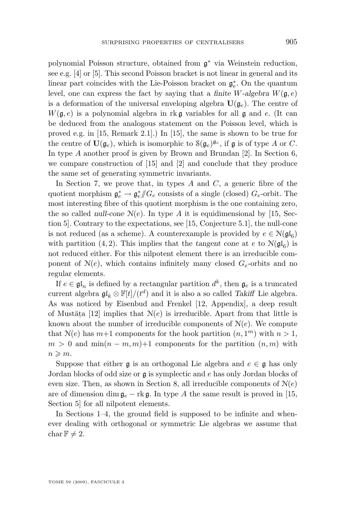polynomial Poisson structure, obtained from  $\mathfrak{g}^*$  via Weinstein reduction, see e.g. [\[4\]](#page-32-0) or [\[5\]](#page-32-0). This second Poisson bracket is not linear in general and its linear part coincides with the Lie-Poisson bracket on  $\mathfrak{g}^*_e$ . On the quantum level, one can express the fact by saying that a *finite* W-algebra  $W(\mathfrak{g},e)$ is a deformation of the universal enveloping algebra  $\mathbf{U}(\mathfrak{g}_e)$ . The centre of  $W(\mathfrak{g}, e)$  is a polynomial algebra in rkg variables for all g and e. (It can be deduced from the analogous statement on the Poisson level, which is proved e.g. in [\[15,](#page-32-0) Remark 2.1].) In [\[15\]](#page-32-0), the same is shown to be true for the centre of  $\mathbf{U}(\mathfrak{g}_e)$ , which is isomorphic to  $\mathcal{S}(\mathfrak{g}_e)^{\mathfrak{g}_e}$ , if  $\mathfrak{g}$  is of type A or C. In type A another proof is given by Brown and Brundan  $[2]$ . In Section [6,](#page-19-0) we compare construction of [\[15\]](#page-32-0) and [\[2\]](#page-32-0) and conclude that they produce the same set of generating symmetric invariants.

In Section [7,](#page-21-0) we prove that, in types  $A$  and  $C$ , a generic fibre of the quotient morphism  $\mathfrak{g}_e^* \to \mathfrak{g}_e^*/\!\!/ G_e$  consists of a single (closed)  $G_e$ -orbit. The most interesting fibre of this quotient morphism is the one containing zero, the so called *null-cone*  $N(e)$ . In type A it is equidimensional by [\[15,](#page-32-0) Section 5]. Contrary to the expectations, see [\[15,](#page-32-0) Conjecture 5.1], the null-cone is not reduced (as a scheme). A counterexample is provided by  $e \in \mathcal{N}(\mathfrak{gl}_6)$ with partition (4, 2). This implies that the *tangent cone* at  $e$  to  $\mathcal{N}(\mathfrak{gl}_6)$  is not reduced either. For this nilpotent element there is an irreducible component of  $N(e)$ , which contains infinitely many closed  $G_e$ -orbits and no regular elements.

If  $e \in \mathfrak{gl}_n$  is defined by a rectangular partition  $d^k$ , then  $\mathfrak{g}_e$  is a truncated current algebra  $\mathfrak{gl}_k \otimes \mathbb{F}[t]/(t^d)$  and it is also a so called *Takiff* Lie algebra. As was noticed by Eisenbud and Frenkel [\[12,](#page-32-0) Appendix], a deep result of Mustăța [\[12\]](#page-32-0) implies that  $N(e)$  is irreducible. Apart from that little is known about the number of irreducible components of  $N(e)$ . We compute that  $\mathcal{N}(e)$  has  $m+1$  components for the hook partition  $(n, 1<sup>m</sup>)$  with  $n > 1$ ,  $m > 0$  and  $\min(n-m, m)+1$  components for the partition  $(n, m)$  with  $n \geqslant m$ .

Suppose that either  $\mathfrak g$  is an orthogonal Lie algebra and  $e \in \mathfrak g$  has only Jordan blocks of odd size or g is symplectic and e has only Jordan blocks of even size. Then, as shown in Section [8,](#page-27-0) all irreducible components of  $N(e)$ are of dimension dim  $\mathfrak{g}_e$  – rk  $\mathfrak{g}$ . In type A the same result is proved in [\[15,](#page-32-0) Section 5] for all nilpotent elements.

In Sections [1](#page-4-0)[–4,](#page-10-0) the ground field is supposed to be infinite and whenever dealing with orthogonal or symmetric Lie algebras we assume that char  $\mathbb{F} \neq 2$ .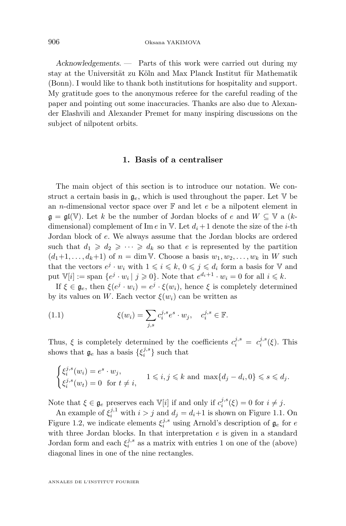<span id="page-4-0"></span>*Acknowledgements. —* Parts of this work were carried out during my stay at the Universität zu Köln and Max Planck Institut für Mathematik (Bonn). I would like to thank both institutions for hospitality and support. My gratitude goes to the anonymous referee for the careful reading of the paper and pointing out some inaccuracies. Thanks are also due to Alexander Elashvili and Alexander Premet for many inspiring discussions on the subject of nilpotent orbits.

#### **1. Basis of a centraliser**

The main object of this section is to introduce our notation. We construct a certain basis in  $\mathfrak{g}_e$ , which is used throughout the paper. Let  $\mathbb V$  be an *n*-dimensional vector space over  $\mathbb{F}$  and let  $e$  be a nilpotent element in  $\mathfrak{g} = \mathfrak{gl}(\mathbb{V})$ . Let k be the number of Jordan blocks of e and  $W \subseteq \mathbb{V}$  a (kdimensional) complement of Im e in V. Let  $d_i + 1$  denote the size of the *i*-th Jordan block of e. We always assume that the Jordan blocks are ordered such that  $d_1 \geqslant d_2 \geqslant \cdots \geqslant d_k$  so that e is represented by the partition  $(d_1+1,\ldots,d_k+1)$  of  $n=\dim V$ . Choose a basis  $w_1, w_2,\ldots,w_k$  in W such that the vectors  $e^j \cdot w_i$  with  $1 \leqslant i \leqslant k$ ,  $0 \leqslant j \leqslant d_i$  form a basis for V and put  $\mathbb{V}[i] := \text{span} \{ e^j \cdot w_i \mid j \geqslant 0 \}.$  Note that  $e^{d_i+1} \cdot w_i = 0$  for all  $i \leqslant k$ .

If  $\xi \in \mathfrak{g}_e$ , then  $\xi(e^j \cdot w_i) = e^j \cdot \xi(w_i)$ , hence  $\xi$  is completely determined by its values on W. Each vector  $\xi(w_i)$  can be written as

(1.1) 
$$
\xi(w_i) = \sum_{j,s} c_i^{j,s} e^s \cdot w_j, \quad c_i^{j,s} \in \mathbb{F}.
$$

Thus,  $\xi$  is completely determined by the coefficients  $c_i^{j,s} = c_i^{j,s}(\xi)$ . This shows that  $\mathfrak{g}_e$  has a basis  $\{\xi_i^{j,s}\}\$  such that

$$
\begin{cases} \xi_i^{j,s}(w_i) = e^s \cdot w_j, \\ \xi_i^{j,s}(w_t) = 0 \text{ for } t \neq i, \end{cases} 1 \leqslant i, j \leqslant k \text{ and } \max\{d_j - d_i, 0\} \leqslant s \leqslant d_j.
$$

Note that  $\xi \in \mathfrak{g}_e$  preserves each  $\mathbb{V}[i]$  if and only if  $c_i^{j,s}(\xi) = 0$  for  $i \neq j$ .

An example of  $\xi_i^{j,1}$  with  $i > j$  and  $d_j = d_i + 1$  is shown on Figure 1.1. On Figure 1.2, we indicate elements  $\xi_i^{j,s}$  using Arnold's description of  $\mathfrak{g}_e$  for e with three Jordan blocks. In that interpretation  $e$  is given in a standard Jordan form and each  $\xi_i^{j,s}$  as a matrix with entries 1 on one of the (above) diagonal lines in one of the nine rectangles.

ANNALES DE L'INSTITUT FOURIER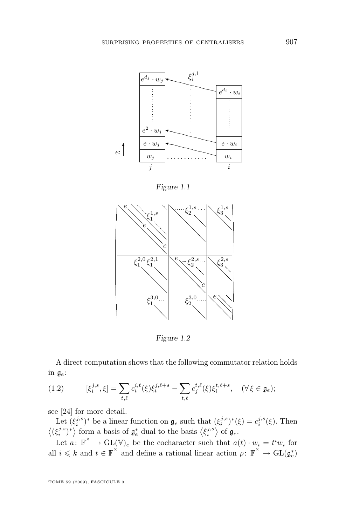<span id="page-5-0"></span>

*Figure 1.1*



*Figure 1.2*

A direct computation shows that the following commutator relation holds in  $\mathfrak{g}_e$ :

(1.2) 
$$
[\xi_i^{j,s}, \xi] = \sum_{t,\ell} c_t^{i,\ell}(\xi) \xi_t^{j,\ell+s} - \sum_{t,\ell} c_j^{t,\ell}(\xi) \xi_i^{t,\ell+s}, \quad (\forall \xi \in \mathfrak{g}_e);
$$

see [\[24\]](#page-33-0) for more detail.

Let  $(\xi_i^{j,s})^*$  be a linear function on  $\mathfrak{g}_e$  such that  $(\xi_i^{j,s})^*(\xi) = c_i^{j,s}(\xi)$ . Then  $\langle (\xi_i^{j,s})^* \rangle$  form a basis of  $\mathfrak{g}_e^*$  dual to the basis  $\langle \xi_i^{j,s} \rangle$  of  $\mathfrak{g}_e$ .

Let  $a: \mathbb{F}^{\times} \to \text{GL}(\mathbb{V})_e$  be the cocharacter such that  $a(t) \cdot w_i = t^i w_i$  for all  $i \leq k$  and  $t \in \mathbb{F}^\times$  and define a rational linear action  $\rho \colon \mathbb{F}^\times \to \text{GL}(\mathfrak{g}_e^*)$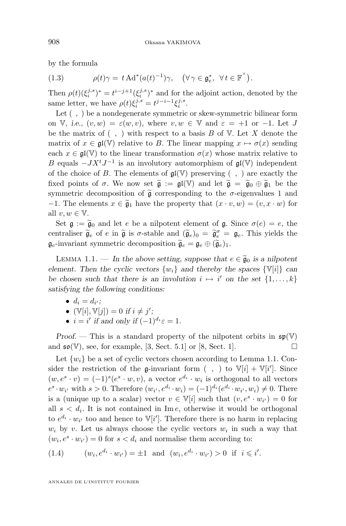<span id="page-6-0"></span>by the formula

(1.3) 
$$
\rho(t)\gamma = t \operatorname{Ad}^*(a(t)^{-1})\gamma, \quad (\forall \gamma \in \mathfrak{g}_e^*, \ \forall t \in \mathbb{F}^\times).
$$

Then  $\rho(t)(\xi_i^{j,s})^* = t^{i-j+1}(\xi_i^{j,s})^*$  and for the adjoint action, denoted by the same letter, we have  $\rho(t)\xi_i^{j,s} = t^{j-i-1}\xi_i^{j,s}$ .

Let  $( , )$  be a nondegenerate symmetric or skew-symmetric bilinear form on V, *i.e.*,  $(v, w) = \varepsilon(w, v)$ , where  $v, w \in V$  and  $\varepsilon = +1$  or  $-1$ . Let J be the matrix of  $( , )$  with respect to a basis B of V. Let X denote the matrix of  $x \in \mathfrak{gl}(\mathbb{V})$  relative to B. The linear mapping  $x \mapsto \sigma(x)$  sending each  $x \in \mathfrak{gl}(\mathbb{V})$  to the linear transformation  $\sigma(x)$  whose matrix relative to B equals  $-JX^tJ^{-1}$  is an involutory automorphism of  $\mathfrak{gl}(\mathbb{V})$  independent of the choice of B. The elements of  $\mathfrak{gl}(\mathbb{V})$  preserving (, ) are exactly the fixed points of  $\sigma$ . We now set  $\tilde{\mathfrak{g}} := \mathfrak{gl}(\mathbb{V})$  and let  $\tilde{\mathfrak{g}} = \tilde{\mathfrak{g}}_0 \oplus \tilde{\mathfrak{g}}_1$  be the symmetric decomposition of  $\tilde{\mathfrak{g}}$  corresponding to the  $\sigma$ -eigenvalues 1 and −1. The elements  $x \in \widetilde{\mathfrak{g}}_1$  have the property that  $(x \cdot v, w) = (v, x \cdot w)$  for all  $v, w \in V$ .

Set  $\mathfrak{g} := \widetilde{\mathfrak{g}}_0$  and let e be a nilpotent element of  $\mathfrak{g}$ . Since  $\sigma(e) = e$ , the centraliser  $\widetilde{\mathfrak{g}}_e$  of e in  $\widetilde{\mathfrak{g}}$  is  $\sigma$ -stable and  $(\widetilde{\mathfrak{g}}_e)_0 = \widetilde{\mathfrak{g}}_e^{\sigma} = \mathfrak{g}_e$ . This yields the  $\mathfrak{g}_e$ -invariant symmetric decomposition  $\widetilde{\mathfrak{g}}_e = \mathfrak{g}_e \oplus (\widetilde{\mathfrak{g}}_e)_1$ .

LEMMA 1.1. — In the above setting, suppose that  $e \in \widetilde{\mathfrak{g}}_0$  is a nilpotent *element. Then the cyclic vectors*  $\{w_i\}$  *and thereby the spaces*  $\{\mathbb{V}[i]\}$  *can be chosen such that there is an involution*  $i \mapsto i'$  *on the set*  $\{1, \ldots, k\}$ *satisfying the following conditions:*

•  $d_i = d_{i'}$ ;

• 
$$
(\mathbb{V}[i], \mathbb{V}[j]) = 0
$$
 if  $i \neq j'$ ;

•  $i = i'$  if and only if  $(-1)^{d_i} \varepsilon = 1$ .

*Proof.* — This is a standard property of the nilpotent orbits in  $\mathfrak{sp}(\mathbb{V})$ and  $\mathfrak{so}(\mathbb{V})$ , see, for example, [\[3,](#page-32-0) Sect. 5.1] or [\[8,](#page-32-0) Sect. 1].

Let  $\{w_i\}$  be a set of cyclic vectors chosen according to Lemma 1.1. Consider the restriction of the g-invariant form  $( , )$  to  $\mathbb{V}[i] + \mathbb{V}[i']$ . Since  $(w, e<sup>s</sup> \cdot v) = (-1)<sup>s</sup>(e<sup>s</sup> \cdot w, v)$ , a vector  $e<sup>d<sub>i</sub></sup> \cdot w<sub>i</sub>$  is orthogonal to all vectors  $e^s \cdot w_{i'}$  with  $s > 0$ . Therefore  $(w_{i'}, e^{d_i} \cdot w_i) = (-1)^{d_i} (e^{d_i} \cdot w_{i'}, w_i) \neq 0$ . There is a (unique up to a scalar) vector  $v \in \mathbb{V}[i]$  such that  $(v, e^s \cdot w_{i'}) = 0$  for all  $s < d_i$ . It is not contained in Im e, otherwise it would be orthogonal to  $e^{d_i} \cdot w_{i'}$  too and hence to  $\mathbb{V}[i']$ . Therefore there is no harm in replacing  $w_i$  by v. Let us always choose the cyclic vectors  $w_i$  in such a way that  $(w_i, e^s \cdot w_{i'}) = 0$  for  $s < d_i$  and normalise them according to:

(1.4) 
$$
(w_i, e^{d_i} \cdot w_{i'}) = \pm 1
$$
 and  $(w_i, e^{d_i} \cdot w_{i'}) > 0$  if  $i \leq i'$ .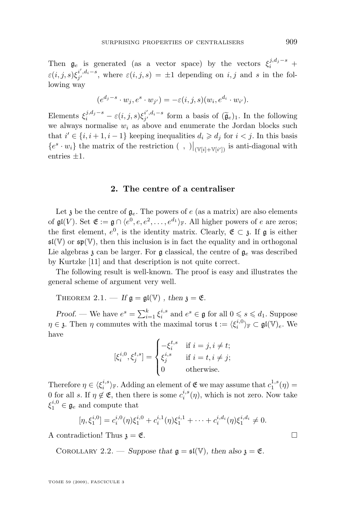<span id="page-7-0"></span>Then  $\mathfrak{g}_e$  is generated (as a vector space) by the vectors  $\xi_i^{j,d_j-s}$  +  $\varepsilon(i,j,s)\xi_{j'}^{i',d_i-s}$ , where  $\varepsilon(i,j,s) = \pm 1$  depending on i, j and s in the following way

$$
(e^{d_j-s}\cdot w_j,e^s\cdot w_{j'})=-\varepsilon(i,j,s)(w_i,e^{d_i}\cdot w_{i'}).
$$

Elements  $\xi_i^{j,d_j-s} - \varepsilon(i,j,s)\xi_j^{i',d_i-s}$  form a basis of  $(\widetilde{\mathfrak{g}}_e)_1$ . In the following we always normalise  $w_i$  as above and enumerate the Jordan blocks such that  $i' \in \{i, i+1, i-1\}$  keeping inequalities  $d_i \geq d_j$  for  $i < j$ . In this basis  ${e^s \cdot w_i}$  the matrix of the restriction (, )  $|_{(\mathbb{V}[i] + \mathbb{V}[i'])}$  is anti-diagonal with entries  $\pm 1$ .

#### **2. The centre of a centraliser**

Let  $\mathfrak z$  be the centre of  $\mathfrak g_e$ . The powers of e (as a matrix) are also elements of  $\mathfrak{gl}(V)$ . Set  $\mathfrak{E} := \mathfrak{g} \cap \langle e^0, e, e^2, \ldots, e^{d_1} \rangle_{\mathbb{F}}$ . All higher powers of e are zeros; the first element,  $e^0$ , is the identity matrix. Clearly,  $\mathfrak{E} \subset \mathfrak{z}$ . If  $\mathfrak{g}$  is either  $\mathfrak{sl}(\mathbb{V})$  or  $\mathfrak{sp}(\mathbb{V})$ , then this inclusion is in fact the equality and in orthogonal Lie algebras  $\chi$  can be larger. For  $\mathfrak g$  classical, the centre of  $\mathfrak g_e$  was described by Kurtzke [\[11\]](#page-32-0) and that description is not quite correct.

The following result is well-known. The proof is easy and illustrates the general scheme of argument very well.

THEOREM 2.1. — If  $\mathfrak{g} = \mathfrak{gl}(\mathbb{V})$ , then  $\mathfrak{z} = \mathfrak{E}$ .

*Proof.* — We have  $e^s = \sum_{i=1}^k \xi_i^{i,s}$  and  $e^s \in \mathfrak{g}$  for all  $0 \leq s \leq d_1$ . Suppose  $\eta \in \mathfrak{z}$ . Then  $\eta$  commutes with the maximal torus  $\mathfrak{t} := \langle \xi_i^{i,0} \rangle_{\mathbb{F}} \subset \mathfrak{gl}(\mathbb{V})_e$ . We have

$$
[\xi_i^{i,0}, \xi_j^{t,s}] = \begin{cases} -\xi_i^{t,s} & \text{if } i = j, i \neq t; \\ \xi_j^{i,s} & \text{if } i = t, i \neq j; \\ 0 & \text{otherwise.} \end{cases}
$$

Therefore  $\eta \in \langle \xi_i^{i,s} \rangle_{\mathbb{F}}$ . Adding an element of  $\mathfrak{E}$  we may assume that  $c_1^{1,s}(\eta)$  = 0 for all s. If  $\eta \notin \mathfrak{E}$ , then there is some  $c_i^{i,s}(\eta)$ , which is not zero. Now take  $\xi_1^{i,0} \in \mathfrak{g}_e$  and compute that

$$
[\eta, \xi_1^{i,0}] = c_i^{i,0}(\eta)\xi_1^{i,0} + c_i^{i,1}(\eta)\xi_1^{i,1} + \cdots + c_i^{i,d_i}(\eta)\xi_1^{i,d_i} \neq 0.
$$

A contradiction! Thus  $\mathfrak{z} = \mathfrak{E}$ .

COROLLARY 2.2. — *Suppose that*  $\mathfrak{g} = \mathfrak{sl}(\mathbb{V})$ *, then also*  $\mathfrak{z} = \mathfrak{E}$ *.* 

TOME 59 (2009), FASCICULE 3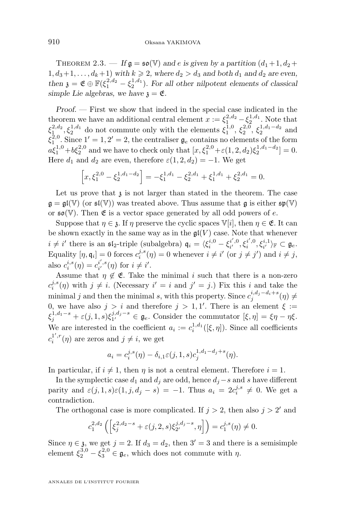THEOREM 2.3. — If  $\mathfrak{g} = \mathfrak{so}(\mathbb{V})$  and e is given by a partition  $(d_1 + 1, d_2 +$  $1, d_3+1, \ldots, d_k+1$  *with*  $k \geq 2$ *, where*  $d_2 > d_3$  *and both*  $d_1$  *and*  $d_2$  *are even,* then  $\mathfrak{z} = \mathfrak{E} \oplus \mathbb{F}(\xi_1^{2,d_2} - \xi_2^{1,d_1})$ . For all other nilpotent elements of classical *simple Lie algebras, we have*  $\chi = \mathfrak{E}$ .

*Proof. —* First we show that indeed in the special case indicated in the theorem we have an additional central element  $x := \xi_1^{2,d_2} - \xi_2^{1,d_1}$ . Note that  $\xi_1^{2,d_2}, \xi_2^{1,d_1}$  do not commute only with the elements  $\xi_1^{1,0}, \xi_2^{2,0}, \xi_2^{1,d_1-d_2}$  and  $\xi_1^{\text{2,0}}$ . Since  $1' = 1, 2' = 2$ , the centraliser  $\mathfrak{g}_e$  contains no elements of the form  $a\xi_1^{1,0} + b\xi_2^{2,0}$  and we have to check only that  $[x, \xi_1^{2,0} + \varepsilon(1, 2, d_2)\xi_2^{1,d_1-d_2}] = 0$ . <sup>2,0</sup>. Since  $1' = 1, 2' = 2$ , the centraliser  $\mathfrak{g}_e$  contains no elements of the form Here  $d_1$  and  $d_2$  are even, therefore  $\varepsilon(1, 2, d_2) = -1$ . We get

$$
\[x,\xi_1^{2,0} - \xi_2^{1,d_1-d_2}\] = -\xi_1^{1,d_1} - \xi_2^{2,d_1} + \xi_1^{1,d_1} + \xi_2^{2,d_1} = 0.
$$

Let us prove that  $\lambda$  is not larger than stated in the theorem. The case  $\mathfrak{g} = \mathfrak{gl}(\mathbb{V})$  (or  $\mathfrak{sl}(\mathbb{V})$ ) was treated above. Thus assume that  $\mathfrak{g}$  is either  $\mathfrak{sp}(\mathbb{V})$ or  $\mathfrak{so}(\mathbb{V})$ . Then  $\mathfrak{E}$  is a vector space generated by all odd powers of e.

Suppose that  $\eta \in \mathfrak{z}$ . If  $\eta$  preserve the cyclic spaces  $\mathbb{V}[i]$ , then  $\eta \in \mathfrak{E}$ . It can be shown exactly in the same way as in the  $\mathfrak{gl}(V)$  case. Note that whenever  $i \neq i'$  there is an  $\mathfrak{sl}_2$ -triple (subalgebra)  $\mathfrak{q}_i = \langle \xi_i^{i,0} - \xi_i^{i',0}, \xi_i^{i',0}, \xi_i^{i,1} \rangle_{\mathbb{F}} \subset \mathfrak{g}_e$ . Equality  $[\eta, \mathfrak{q}_i] = 0$  forces  $c_i^{j,s}(\eta) = 0$  whenever  $i \neq i'$  (or  $j \neq j'$ ) and  $i \neq j$ , also  $c_i^{i,s}(\eta) = c_{i'}^{i',s}(\eta)$  for  $i \neq i'$ .

Assume that  $\eta \notin \mathfrak{E}$ . Take the minimal i such that there is a non-zero  $c_i^{j,s}(\eta)$  with  $j \neq i$ . (Necessary  $i' = i$  and  $j' = j$ .) Fix this i and take the minimal j and then the minimal s, with this property. Since  $c_j^{i,d_j-d_i+s}(\eta) \neq$ 0, we have also  $j > i$  and therefore  $j > 1, 1'$ . There is an element  $\xi :=$  $\xi_j^{1,d_1-s} + \varepsilon(j,1,s)\xi_{1'}^{j,d_j-s} \in \mathfrak{g}_e$ . Consider the commutator  $[\xi,\eta] = \xi\eta - \eta\xi$ . We are interested in the coefficient  $a_i := c_i^{1,d_1}([\xi, \eta])$ . Since all coefficients  $c_i^{1',r}(\eta)$  are zeros and  $j \neq i$ , we get

$$
a_i = c_i^{j,s}(\eta) - \delta_{i,1} \varepsilon(j, 1, s) c_j^{1, d_1 - d_j + s}(\eta).
$$

In particular, if  $i \neq 1$ , then  $\eta$  is not a central element. Therefore  $i = 1$ .

In the symplectic case  $d_1$  and  $d_j$  are odd, hence  $d_j - s$  and s have different parity and  $\varepsilon(j,1,s)\varepsilon(1,j,d_j-s) = -1$ . Thus  $a_i = 2c_i^{j,s} \neq 0$ . We get a contradiction.

The orthogonal case is more complicated. If  $j > 2$ , then also  $j > 2'$  and

$$
c_1^{2,d_2}\left(\left[\xi_j^{2,d_2-s}+\varepsilon(j,2,s)\xi_{2'}^{j,d_j-s},\eta\right]\right)=c_1^{j,s}(\eta)\neq 0.
$$

Since  $\eta \in \mathfrak{z}$ , we get  $j = 2$ . If  $d_3 = d_2$ , then  $3' = 3$  and there is a semisimple element  $\xi_2^{3,0} - \xi_3^{2,0} \in \mathfrak{g}_e$ , which does not commute with  $\eta$ .

ANNALES DE L'INSTITUT FOURIER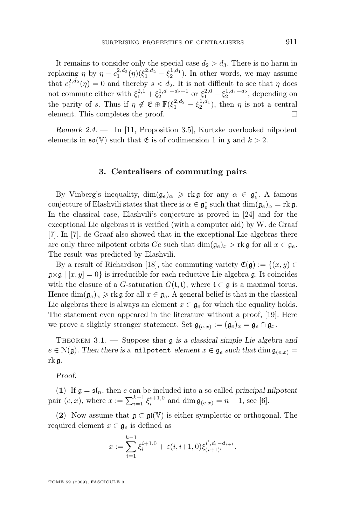<span id="page-9-0"></span>It remains to consider only the special case  $d_2 > d_3$ . There is no harm in replacing  $\eta$  by  $\eta - c_1^{2,d_2}(\eta)(\xi_1^{2,d_2} - \xi_2^{1,d_1})$ . In other words, we may assume that  $c_1^{2,d_2}(\eta) = 0$  and thereby  $s < d_2$ . It is not difficult to see that  $\eta$  does not commute either with  $\xi_1^{2,1} + \xi_2^{1,d_1-d_2+1}$  or  $\xi_1^{2,0} - \xi_2^{1,d_1-d_2}$ , depending on the parity of s. Thus if  $\eta \notin \mathfrak{E} \oplus \mathbb{F}(\xi_1^{2,d_2} - \xi_2^{1,d_1})$ , then  $\eta$  is not a central element. This completes the proof.

*Remark 2.4. —* In [\[11,](#page-32-0) Proposition 3.5], Kurtzke overlooked nilpotent elements in  $\mathfrak{so}(\mathbb{V})$  such that  $\mathfrak{E}$  is of codimension 1 in  $\mathfrak{z}$  and  $k > 2$ .

#### **3. Centralisers of commuting pairs**

By Vinberg's inequality,  $\dim(\mathfrak{g}_e)_{\alpha} \geqslant \text{rk } \mathfrak{g}$  for any  $\alpha \in \mathfrak{g}_e^*$ . A famous conjecture of Elashvili states that there is  $\alpha \in \mathfrak{g}_e^*$  such that  $\dim(\mathfrak{g}_e)_{\alpha} = \text{rk } \mathfrak{g}$ . In the classical case, Elashvili's conjecture is proved in [\[24\]](#page-33-0) and for the exceptional Lie algebras it is verified (with a computer aid) by W. de Graaf [\[7\]](#page-32-0). In [\[7\]](#page-32-0), de Graaf also showed that in the exceptional Lie algebras there are only three nilpotent orbits Ge such that  $\dim(\mathfrak{g}_e)_x > \text{rk } \mathfrak{g}$  for all  $x \in \mathfrak{g}_e$ . The result was predicted by Elashvili.

By a result of Richardson [\[18\]](#page-32-0), the commuting variety  $\mathfrak{C}(\mathfrak{g}) := \{(x, y) \in$  $\mathfrak{g} \times \mathfrak{g} \mid [x, y] = 0$  is irreducible for each reductive Lie algebra g. It coincides with the closure of a G-saturation  $G(t, t)$ , where  $t \subset g$  is a maximal torus. Hence  $\dim(\mathfrak{g}_e)_x \geq \text{rk } \mathfrak{g}$  for all  $x \in \mathfrak{g}_e$ . A general belief is that in the classical Lie algebras there is always an element  $x \in \mathfrak{g}_e$  for which the equality holds. The statement even appeared in the literature without a proof, [\[19\]](#page-32-0). Here we prove a slightly stronger statement. Set  $\mathfrak{g}_{(e,x)} := (\mathfrak{g}_e)_x = \mathfrak{g}_e \cap \mathfrak{g}_x$ .

Theorem 3.1. — *Suppose that* g *is a classical simple Lie algebra and*  $e \in \mathcal{N}(\mathfrak{g})$ . Then there is a **nilpotent** element  $x \in \mathfrak{g}_e$  such that  $\dim \mathfrak{g}_{(e,x)} =$ rk g*.*

*Proof.*

(1) If  $\mathfrak{g} = \mathfrak{sl}_n$ , then e can be included into a so called *principal nilpotent* pair  $(e, x)$ , where  $x := \sum_{i=1}^{k-1} \xi_i^{i+1,0}$  and  $\dim \mathfrak{g}_{(e,x)} = n-1$ , see [\[6\]](#page-32-0).

(2) Now assume that  $\mathfrak{g} \subset \mathfrak{gl}(\mathbb{V})$  is either symplectic or orthogonal. The required element  $x \in \mathfrak{g}_e$  is defined as

$$
x := \sum_{i=1}^{k-1} \xi_i^{i+1,0} + \varepsilon(i, i+1, 0) \xi_{(i+1)}^{i', d_i - d_{i+1}}.
$$

TOME 59 (2009), FASCICULE 3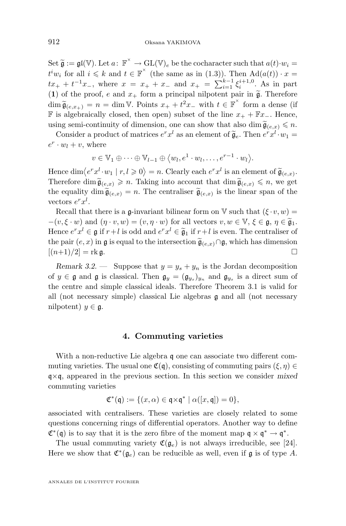<span id="page-10-0"></span>Set  $\widetilde{\mathfrak{g}} := \mathfrak{gl}(\mathbb{V})$ . Let  $a: \mathbb{F}^{\times} \to \mathrm{GL}(\mathbb{V})_e$  be the cocharacter such that  $a(t) \cdot w_i =$  $t^i w_i$  for all  $i \leq k$  and  $t \in \mathbb{F}^\times$  (the same as in [\(1.3\)](#page-6-0)). Then  $\text{Ad}(a(t)) \cdot x =$  $tx_+ + t^{-1}x_-,$  where  $x = x_+ + x_-$  and  $x_+ = \sum_{i=1}^{k-1} \xi_i^{i+1,0}$ . As in part (1) of the proof, e and  $x_+$  form a principal nilpotent pair in  $\tilde{\mathfrak{g}}$ . Therefore  $\dim \widetilde{\mathfrak{g}}_{(e,x_+)} = n = \dim \mathbb{V}$ . Points  $x_+ + t^2 x_-$  with  $t \in \mathbb{F}^\times$  form a dense (if **F** is algebraically closed, then open) subset of the line  $x_+ + \mathbb{F}x_-\$ . Hence, using semi-continuity of dimension, one can show that also dim  $\tilde{\mathfrak{g}}_{(e,x)} \leq n$ .

Consider a product of matrices  $e^r x^l$  as an element of  $\tilde{\mathfrak{g}}_e$ . Then  $e^r x^l \cdot w_1 =$  $e^r \cdot w_l + v$ , where

$$
v \in \mathbb{V}_1 \oplus \cdots \oplus \mathbb{V}_{l-1} \oplus \langle w_l, e^1 \cdot w_l, \ldots, e^{r-1} \cdot w_l \rangle.
$$

Hence  $\dim \langle e^r x^l \cdot w_1 | r, l \geq 0 \rangle = n$ . Clearly each  $e^r x^l$  is an element of  $\widetilde{\mathfrak{g}}_{(e,x)}$ .<br>Therefore, dim  $\widetilde{\epsilon}$ Therefore dim  $\widetilde{\mathfrak{g}}_{(e,x)} \geqslant n$ . Taking into account that  $\dim \widetilde{\mathfrak{g}}_{(e,x)} \leqslant n$ , we get the equality dim  $\widetilde{\mathfrak{g}}_{(e,x)} = n$ . The centraliser  $\widetilde{\mathfrak{g}}_{(e,x)}$  is the linear span of the vectors  $e^r x^l$ .

Recall that there is a g-invariant bilinear form on  $\mathbb{V}$  such that  $(\xi \cdot v, w) =$  $-(v, \xi \cdot w)$  and  $(\eta \cdot v, w) = (v, \eta \cdot w)$  for all vectors  $v, w \in \mathbb{V}, \xi \in \mathfrak{g}, \eta \in \widetilde{\mathfrak{g}}_1$ . Hence  $e^r x^l \in \mathfrak{g}$  if  $r+l$  is odd and  $e^r x^l \in \widetilde{\mathfrak{g}}_1$  if  $r+l$  is even. The centraliser of the pair  $(e, x)$  in g is equal to the intersection  $\tilde{\mathfrak{g}}_{(e,x)} \cap \mathfrak{g}$ , which has dimension  $[(n+1)/2] = \text{rk } \mathfrak{a}.$  $[(n+1)/2] =$ rk g.

*Remark 3.2.* — Suppose that  $y = y_s + y_n$  is the Jordan decomposition of  $y \in \mathfrak{g}$  and  $\mathfrak{g}$  is classical. Then  $\mathfrak{g}_y = (\mathfrak{g}_{y_s})_{y_n}$  and  $\mathfrak{g}_{y_s}$  is a direct sum of the centre and simple classical ideals. Therefore Theorem [3.1](#page-9-0) is valid for all (not necessary simple) classical Lie algebras g and all (not necessary nilpotent)  $y \in \mathfrak{g}$ .

#### **4. Commuting varieties**

With a non-reductive Lie algebra q one can associate two different commuting varieties. The usual one  $\mathfrak{C}(\mathfrak{g})$ , consisting of commuting pairs  $(\xi, \eta) \in$ q×q, appeared in the previous section. In this section we consider *mixed* commuting varieties

$$
\mathfrak{C}^*(\mathfrak{q}) := \{ (x, \alpha) \in \mathfrak{q} \times \mathfrak{q}^* \mid \alpha([x, \mathfrak{q}]) = 0 \},
$$

associated with centralisers. These varieties are closely related to some questions concerning rings of differential operators. Another way to define  $\mathfrak{C}^*(\mathfrak{q})$  is to say that it is the zero fibre of the moment map  $\mathfrak{q} \times \mathfrak{q}^* \to \mathfrak{q}^*$ .

The usual commuting variety  $\mathfrak{C}(\mathfrak{g}_e)$  is not always irreducible, see [\[24\]](#page-33-0). Here we show that  $\mathfrak{C}^*(\mathfrak{g}_e)$  can be reducible as well, even if  $\mathfrak g$  is of type A.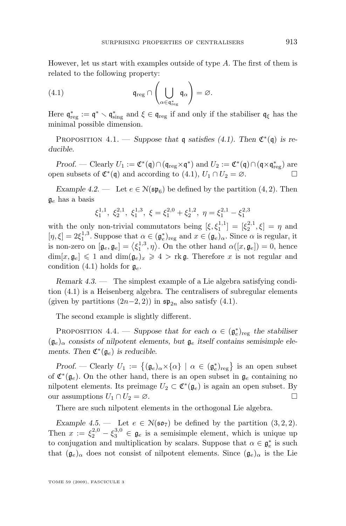<span id="page-11-0"></span>However, let us start with examples outside of type A. The first of them is related to the following property:

(4.1) 
$$
\mathfrak{q}_{\text{reg}} \cap \left(\bigcup_{\alpha \in \mathfrak{q}_{\text{reg}}^*} \mathfrak{q}_{\alpha}\right) = \varnothing.
$$

Here  $\mathfrak{q}^*_{\text{reg}} := \mathfrak{q}^* \setminus \mathfrak{q}^*_{\text{sing}}$  and  $\xi \in \mathfrak{q}_{\text{reg}}$  if and only if the stabiliser  $\mathfrak{q}_{\xi}$  has the minimal possible dimension.

PROPOSITION 4.1. — *Suppose that* q *satisfies* (4.1). Then  $\mathfrak{C}^*(\mathfrak{q})$  *is reducible.*

*Proof.* — Clearly  $U_1 := \mathfrak{C}^*(\mathfrak{q}) \cap (\mathfrak{q}_{\text{reg}} \times \mathfrak{q}^*)$  and  $U_2 := \mathfrak{C}^*(\mathfrak{q}) \cap (\mathfrak{q} \times \mathfrak{q}_{\text{reg}}^*)$  are open subsets of  $\mathfrak{C}^*(\mathfrak{q})$  and according to  $(4.1)$ ,  $U_1 \cap U_2 = \emptyset$ .

*Example 4.2.* — Let  $e \in N(\mathfrak{sp}_6)$  be defined by the partition  $(4, 2)$ . Then  $\mathfrak{g}_e$  has a basis

$$
\xi_1^{1,1},\ \xi_2^{2,1},\ \xi_1^{1,3},\ \xi=\xi_1^{2,0}+\xi_2^{1,2},\ \eta=\xi_1^{2,1}-\xi_1^{2,3}
$$

with the only non-trivial commutators being  $[\xi, \xi_1^{1,1}] = [\xi_2^{2,1}, \xi] = \eta$  and  $[\eta, \xi] = 2\xi_1^{1,3}$ . Suppose that  $\alpha \in (\mathfrak{g}_e)_{\text{reg}}$  and  $x \in (\mathfrak{g}_e)_{\alpha}$ . Since  $\alpha$  is regular, it is non-zero on  $[\mathfrak{g}_e, \mathfrak{g}_e] = \langle \xi_1^{1,3}, \eta \rangle$ . On the other hand  $\alpha([x, \mathfrak{g}_e]) = 0$ , hence  $\dim[x, \mathfrak{g}_e] \leq 1$  and  $\dim(\mathfrak{g}_e)_x \geq 4 > \text{rk}\mathfrak{g}$ . Therefore x is not regular and condition (4.1) holds for  $\mathfrak{g}_e$ .

*Remark 4.3. —* The simplest example of a Lie algebra satisfying condition (4.1) is a Heisenberg algebra. The centralisers of subregular elements (given by partitions  $(2n-2, 2)$ ) in  $\mathfrak{sp}_{2n}$  also satisfy  $(4.1)$ .

The second example is slightly different.

PROPOSITION 4.4. — Suppose that for each  $\alpha \in (\mathfrak{g}_e^*)_{reg}$  the stabiliser  $(\mathfrak{g}_e)_{\alpha}$  consists of nilpotent elements, but  $\mathfrak{g}_e$  itself contains semisimple ele*ments.* Then  $\mathfrak{C}^*(\mathfrak{g}_e)$  *is reducible.* 

*Proof.* — Clearly  $U_1 := \{(\mathfrak{g}_e)_{\alpha} \times {\alpha} \mid \alpha \in (\mathfrak{g}_e^*)_{\text{reg}}\}$  is an open subset of  $\mathfrak{C}^*(\mathfrak{g}_e)$ . On the other hand, there is an open subset in  $\mathfrak{g}_e$  containing no nilpotent elements. Its preimage  $U_2 \subset \mathfrak{C}^*(\mathfrak{g}_e)$  is again an open subset. By our assumptions  $U_1 \cap U_2 = \emptyset$ .

There are such nilpotent elements in the orthogonal Lie algebra.

*Example 4.5.* — Let  $e \in N(\mathfrak{so}_7)$  be defined by the partition  $(3, 2, 2)$ . Then  $x := \xi_2^{2,0} - \xi_3^{3,0} \in \mathfrak{g}_e$  is a semisimple element, which is unique up to conjugation and multiplication by scalars. Suppose that  $\alpha \in \mathfrak{g}_e^*$  is such that  $(\mathfrak{g}_e)_{\alpha}$  does not consist of nilpotent elements. Since  $(\mathfrak{g}_e)_{\alpha}$  is the Lie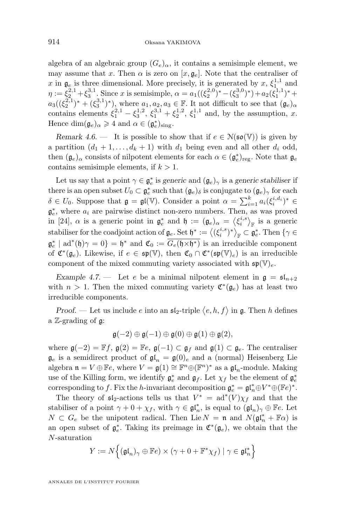<span id="page-12-0"></span>algebra of an algebraic group  $(G_e)_{\alpha}$ , it contains a semisimple element, we may assume that x. Then  $\alpha$  is zero on  $[x, \mathfrak{g}_e]$ . Note that the centraliser of x in  $\mathfrak{g}_e$  is three dimensional. More precisely, it is generated by x,  $\xi_{1,1}^{1,1}$  and  $\eta := \xi_2^{2,1} + \xi_3^{3,1}$ . Since x is semisimple,  $\alpha = a_1((\xi_2^{2,0})^* - (\xi_3^{3,0})^*) + a_2(\xi_1^{1,1})^* +$  $a_3((\xi_2^{2,1})^* + (\xi_3^{3,1})^*)$ , where  $a_1, a_2, a_3 \in \mathbb{F}$ . It not difficult to see that  $(\mathfrak{g}_e)_{\alpha}$ contains elements  $\xi_1^{2,1} - \xi_3^{1,2}, \xi_1^{3,1} + \xi_2^{1,2}, \xi_1^{1,1}$  and, by the assumption, x. Hence  $\dim(\mathfrak{g}_e)_{\alpha} \geq 4$  and  $\alpha \in (\mathfrak{g}_e^*)_{\text{sing}}$ .

*Remark 4.6.* — It is possible to show that if  $e \in N(\mathfrak{so}(\mathbb{V}))$  is given by a partition  $(d_1 + 1, \ldots, d_k + 1)$  with  $d_1$  being even and all other  $d_i$  odd, then  $(\mathfrak{g}_e)_\alpha$  consists of nilpotent elements for each  $\alpha \in (\mathfrak{g}_e^*)_{reg}$ . Note that  $\mathfrak{g}_e$ contains semisimple elements, if  $k > 1$ .

Let us say that a point  $\gamma \in \mathfrak{g}_e^*$  is *generic* and  $(\mathfrak{g}_e)_{\gamma}$  is a *generic stabiliser* if there is an open subset  $U_0 \subset \mathfrak{g}_e^*$  such that  $(\mathfrak{g}_e)_\delta$  is conjugate to  $(\mathfrak{g}_e)_\gamma$  for each  $\delta \in U_0$ . Suppose that  $\mathfrak{g} = \mathfrak{gl}(\mathbb{V})$ . Consider a point  $\alpha = \sum_{i=1}^k a_i (\xi_i^{i,d_i})^* \in$  $\mathfrak{g}^*_e$ , where  $a_i$  are pairwise distinct non-zero numbers. Then, as was proved in [\[24\]](#page-33-0),  $\alpha$  is a generic point in  $\mathfrak{g}_e^*$  and  $\mathfrak{h} := (\mathfrak{g}_e)_{\alpha} = \langle \xi_i^{i,s} \rangle_{\mathbb{F}}$  is a generic stabiliser for the coadjoint action of  $\mathfrak{g}_e$ . Set  $\mathfrak{h}^* := \langle (\xi_i^{i,s})^* \rangle_{\mathbb{F}} \subset \mathfrak{g}_e^*$ . Then  $\{ \gamma \in$  $\mathfrak{g}_e^*$  | ad<sup>\*</sup>(h) $\gamma = 0$ } = h<sup>\*</sup> and  $\mathfrak{C}_0 := \overline{G_e(\mathfrak{h} \times \mathfrak{h}^*)}$  is an irreducible component of  $\mathfrak{C}^*(\mathfrak{g}_e)$ . Likewise, if  $e \in \mathfrak{sp}(\mathbb{V})$ , then  $\mathfrak{C}_0 \cap \mathfrak{C}^*(\mathfrak{sp}(\mathbb{V})_e)$  is an irreducible component of the mixed commuting variety associated with  $\mathfrak{sp}(\mathbb{V})_e$ .

*Example 4.7.* — Let e be a minimal nilpotent element in  $\mathfrak{g} = \mathfrak{sl}_{n+2}$ with  $n > 1$ . Then the mixed commuting variety  $\mathfrak{C}^*(\mathfrak{g}_e)$  has at least two irreducible components.

*Proof.* — Let us include e into an  $\mathfrak{sl}_2$ -triple  $\langle e, h, f \rangle$  in  $\mathfrak{g}$ . Then h defines a Z-grading of g:

$$
\mathfrak{g}(-2)\oplus\mathfrak{g}(-1)\oplus\mathfrak{g}(0)\oplus\mathfrak{g}(1)\oplus\mathfrak{g}(2),
$$

where  $\mathfrak{g}(-2) = \mathbb{F}f$ ,  $\mathfrak{g}(2) = \mathbb{F}e$ ,  $\mathfrak{g}(-1) \subset \mathfrak{g}_f$  and  $\mathfrak{g}(1) \subset \mathfrak{g}_e$ . The centraliser  $\mathfrak{g}_e$  is a semidirect product of  $\mathfrak{gl}_n = \mathfrak{g}(0)_e$  and a (normal) Heisenberg Lie algebra  $\mathfrak{n} = V \oplus \mathbb{F}e$ , where  $V = \mathfrak{g}(1) \cong \mathbb{F}^n \oplus (\mathbb{F}^n)^*$  as a  $\mathfrak{gl}_n$ -module. Making use of the Killing form, we identify  $\mathfrak{g}_e^*$  and  $\mathfrak{g}_f$ . Let  $\chi_f$  be the element of  $\mathfrak{g}_e^*$ corresponding to f. Fix the h-invariant decomposition  $\mathfrak{g}_e^* = \mathfrak{gl}_n^* \oplus V^* \oplus (\mathbb{F}e)^*$ .

The theory of  $\mathfrak{sl}_2$ -actions tells us that  $V^* = \text{ad}^*(V)\chi_f$  and that the stabiliser of a point  $\gamma + 0 + \chi_f$ , with  $\gamma \in \mathfrak{gl}_n^*$ , is equal to  $(\mathfrak{gl}_n)_\gamma \oplus \mathbb{F}e$ . Let  $N \subset G_e$  be the unipotent radical. Then Lie  $N = \mathfrak{n}$  and  $N(\mathfrak{gl}_n^* + \mathbb{F}\alpha)$  is an open subset of  $\mathfrak{g}_e^*$ . Taking its preimage in  $\mathfrak{C}^*(\mathfrak{g}_e)$ , we obtain that the N-saturation

$$
Y := N\Big\{(\mathfrak{gl}_n)_\gamma \oplus \mathbb{F}e) \times (\gamma + 0 + \mathbb{F}^* \chi_f) \mid \gamma \in \mathfrak{gl}_n^*\Big\}
$$

ANNALES DE L'INSTITUT FOURIER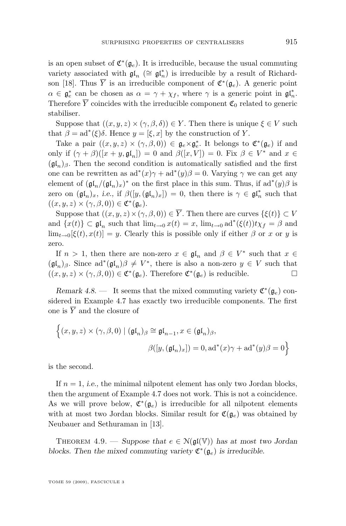<span id="page-13-0"></span>is an open subset of  $\mathfrak{C}^*(\mathfrak{g}_e)$ . It is irreducible, because the usual commuting variety associated with  $\mathfrak{gl}_n$  ( $\cong \mathfrak{gl}_n^*$ ) is irreducible by a result of Richard-son [\[18\]](#page-32-0). Thus  $\overline{Y}$  is an irreducible component of  $\mathfrak{C}^*(\mathfrak{g}_e)$ . A generic point  $\alpha \in \mathfrak{g}_e^*$  can be chosen as  $\alpha = \gamma + \chi_f$ , where  $\gamma$  is a generic point in  $\mathfrak{gl}_n^*$ . Therefore  $\overline{Y}$  coincides with the irreducible component  $\mathfrak{C}_0$  related to generic stabiliser.

Suppose that  $((x, y, z) \times (\gamma, \beta, \delta)) \in Y$ . Then there is unique  $\xi \in V$  such that  $\beta = ad^*(\xi)\delta$ . Hence  $y = [\xi, x]$  by the construction of Y.

Take a pair  $((x, y, z) \times (\gamma, \beta, 0)) \in \mathfrak{g}_e \times \mathfrak{g}_e^*$ . It belongs to  $\mathfrak{C}^*(\mathfrak{g}_e)$  if and only if  $(\gamma + \beta)([x + y, \mathfrak{gl}_n]) = 0$  and  $\beta([x, V]) = 0$ . Fix  $\beta \in V^*$  and  $x \in$  $(\mathfrak{gl}_n)_{\beta}$ . Then the second condition is automatically satisfied and the first one can be rewritten as  $ad^*(x)\gamma + ad^*(y)\beta = 0$ . Varying  $\gamma$  we can get any element of  $(\mathfrak{gl}_n/(\mathfrak{gl}_n)_x)^*$  on the first place in this sum. Thus, if  $ad^*(y)\beta$  is zero on  $(\mathfrak{gl}_n)_x$ , *i.e.*, if  $\beta([y, (\mathfrak{gl}_n)_x]) = 0$ , then there is  $\gamma \in \mathfrak{gl}_n^*$  such that  $((x, y, z) \times (\gamma, \beta, 0)) \in \mathfrak{C}^*(\mathfrak{g}_e).$ 

Suppose that  $((x, y, z) \times (\gamma, \beta, 0)) \in \overline{Y}$ . Then there are curves  $\{\xi(t)\} \subset V$ and  $\{x(t)\}\subset \mathfrak{gl}_n$  such that  $\lim_{t\to 0}x(t)=x$ ,  $\lim_{t\to 0}ad^*(\xi(t))t\chi_f=\beta$  and  $\lim_{t\to 0}[\xi(t),x(t)] = y$ . Clearly this is possible only if either  $\beta$  or x or y is zero.

If  $n > 1$ , then there are non-zero  $x \in \mathfrak{gl}_n$  and  $\beta \in V^*$  such that  $x \in$  $(\mathfrak{gl}_n)_{\beta}$ . Since  $ad^*(\mathfrak{gl}_n)\beta \neq V^*$ , there is also a non-zero  $y \in V$  such that  $((x, y, z) \times (\gamma, \beta, 0)) \in \mathfrak{C}^*(\mathfrak{g}_e)$ . Therefore  $\mathfrak{C}^*(\mathfrak{g}_e)$  is reducible.

*Remark 4.8.* — It seems that the mixed commuting variety  $\mathfrak{C}^*(\mathfrak{g}_e)$  considered in Example [4.7](#page-12-0) has exactly two irreducible components. The first one is  $\overline{Y}$  and the closure of

$$
\left\{ (x, y, z) \times (\gamma, \beta, 0) \mid (\mathfrak{gl}_n)_{\beta} \cong \mathfrak{gl}_{n-1}, x \in (\mathfrak{gl}_n)_{\beta}, \right\}
$$

$$
\beta([y, (\mathfrak{gl}_n)_x]) = 0, \mathrm{ad}^*(x)\gamma + \mathrm{ad}^*(y)\beta = 0 \right\}
$$

is the second.

n

If  $n = 1$ , *i.e.*, the minimal nilpotent element has only two Jordan blocks, then the argument of Example [4.7](#page-12-0) does not work. This is not a coincidence. As we will prove below,  $\mathfrak{C}^*(\mathfrak{g}_e)$  is irreducible for all nilpotent elements with at most two Jordan blocks. Similar result for  $\mathfrak{C}(\mathfrak{g}_e)$  was obtained by Neubauer and Sethuraman in [\[13\]](#page-32-0).

THEOREM 4.9. — *Suppose that*  $e \in N(\mathfrak{gl}(\mathbb{V}))$  *has at most two Jordan blocks. Then the mixed commuting variety*  $\mathfrak{C}^*(\mathfrak{g}_e)$  *is irreducible.* 

TOME 59 (2009), FASCICULE 3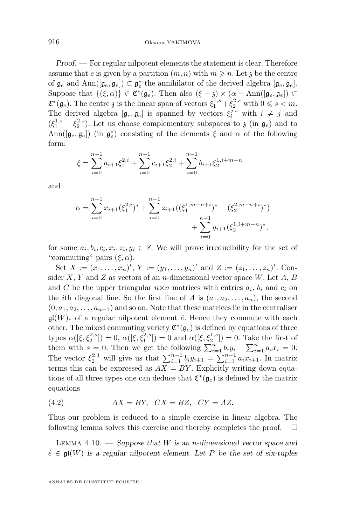<span id="page-14-0"></span>*Proof.* — For regular nilpotent elements the statement is clear. Therefore assume that e is given by a partition  $(m, n)$  with  $m \geq n$ . Let z be the centre of  $\mathfrak{g}_e$  and  $\text{Ann}([\mathfrak{g}_e, \mathfrak{g}_e]) \subset \mathfrak{g}_e^*$  the annihilator of the derived algebra  $[\mathfrak{g}_e, \mathfrak{g}_e]$ . Suppose that  $\{(\xi,\alpha)\}\in \mathfrak{C}^*(\mathfrak{g}_e)$ . Then also  $(\xi + \mathfrak{z}) \times (\alpha + \text{Ann}([\mathfrak{g}_e, \mathfrak{g}_e]) \subset$  $\mathfrak{C}^*(\mathfrak{g}_e)$ . The centre  $\mathfrak{z}$  is the linear span of vectors  $\xi_1^{1,s} + \xi_2^{2,s}$  with  $0 \le s < m$ . The derived algebra  $[\mathfrak{g}_e, \mathfrak{g}_e]$  is spanned by vectors  $\xi_i^{j,s}$  with  $i \neq j$  and  $(\xi_1^{1,s} - \xi_2^{2,s})$ . Let us choose complementary subspaces to  $\mathfrak{z}$  (in  $\mathfrak{g}_e$ ) and to  $\text{Ann}([\mathfrak{g}_e, \mathfrak{g}_e])$  (in  $\mathfrak{g}_e^*$ ) consisting of the elements  $\xi$  and  $\alpha$  of the following form:

$$
\xi = \sum_{i=0}^{n-1} a_{i+1} \xi_1^{2,i} + \sum_{i=0}^{n-1} c_{i+1} \xi_2^{2,i} + \sum_{i=0}^{n-1} b_{i+1} \xi_2^{1,i+m-n}
$$

and

$$
\alpha = \sum_{i=0}^{n-1} x_{i+1} (\xi_1^{2,i})^* + \sum_{i=0}^{n-1} z_{i+1} ((\xi_1^{1,m-n+i})^* - (\xi_2^{2,m-n+i})^*)
$$
  
+ 
$$
\sum_{i=0}^{n-1} y_{i+1} (\xi_2^{1,i+m-n})^*,
$$

for some  $a_i, b_i, c_i, x_i, z_i, y_i \in \mathbb{F}$ . We will prove irreducibility for the set of "commuting" pairs  $(\xi, \alpha)$ .

Set  $X := (x_1, \ldots, x_n)^t$ ,  $Y := (y_1, \ldots, y_n)^t$  and  $Z := (z_1, \ldots, z_n)^t$ . Consider  $X, Y$  and  $Z$  as vectors of an n-dimensional vector space  $W$ . Let  $A, B$ and C be the upper triangular  $n \times n$  matrices with entries  $a_i$ ,  $b_i$  and  $c_i$  on the *i*th diagonal line. So the first line of A is  $(a_1, a_2, \ldots, a_n)$ , the second  $(0, a_1, a_2, \ldots, a_{n-1})$  and so on. Note that these matrices lie in the centraliser  $\mathfrak{gl}(W)_{\hat{e}}$  of a regular nilpotent element  $\hat{e}$ . Hence they commute with each other. The mixed commuting variety  $\mathfrak{C}^*(\mathfrak{g}_e)$  is defined by equations of three types  $\alpha([\xi, \xi_2^{2,s}]) = 0$ ,  $\alpha([\xi, \xi_1^{2,s}]) = 0$  and  $\alpha([\xi, \xi_2^{1,s}]) = 0$ . Take the first of them with  $s = 0$ . Then we get the following  $\sum_{i=1}^{n} b_i y_i - \sum_{i=1}^{n} a_i x_i = 0$ . The vector  $\xi_2^{2,1}$  will give us that  $\sum_{i=1}^{n-1} b_i y_{i+1} = \sum_{i=1}^{n-1} a_i x_{i+1}$ . In matrix terms this can be expressed as  $AX = BY$ . Explicitly writing down equations of all three types one can deduce that  $\mathfrak{C}^*(\mathfrak{g}_e)$  is defined by the matrix equations

(4.2) 
$$
AX = BY, \quad CX = BZ, \quad CY = AZ.
$$

Thus our problem is reduced to a simple exercise in linear algebra. The following lemma solves this exercise and thereby completes the proof.

Lemma 4.10. — *Suppose that* W *is an* n*-dimensional vector space and*  $\hat{e} \in \mathfrak{gl}(W)$  is a regular nilpotent element. Let P be the set of six-tuples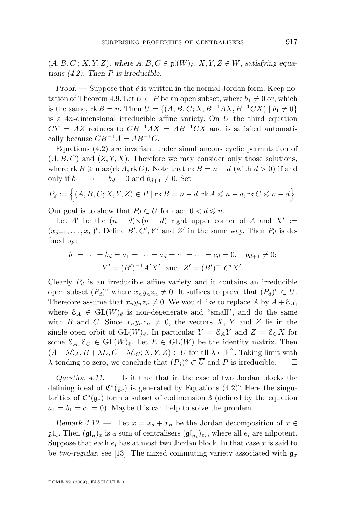$(A, B, C; X, Y, Z)$ *, where*  $A, B, C \in \mathfrak{gl}(W)_{\hat{e}}, X, Y, Z \in W$ *, satisfying equations [\(4.2\)](#page-14-0). Then* P *is irreducible.*

*Proof.* — Suppose that  $\hat{e}$  is written in the normal Jordan form. Keep no-tation of Theorem [4.9.](#page-13-0) Let  $U \subset P$  be an open subset, where  $b_1 \neq 0$  or, which is the same, rk B = n. Then  $U = \{(A, B, C; X, B^{-1}AX, B^{-1}CX) \mid b_1 \neq 0\}$ is a  $4n$ -dimensional irreducible affine variety. On  $U$  the third equation  $CY = AZ$  reduces to  $CB^{-1}AX = AB^{-1}CX$  and is satisfied automatically because  $CB^{-1}A = AB^{-1}C$ .

Equations [\(4.2\)](#page-14-0) are invariant under simultaneous cyclic permutation of  $(A, B, C)$  and  $(Z, Y, X)$ . Therefore we may consider only those solutions, where  $rk B \geqslant max(rk A, rk C)$ . Note that  $rk B = n - d$  (with  $d > 0$ ) if and only if  $b_1 = \cdots = b_d = 0$  and  $b_{d+1} \neq 0$ . Set

$$
P_d := \Big\{ (A, B, C; X, Y, Z) \in P \mid \text{rk } B = n - d, \text{rk } A \leqslant n - d, \text{rk } C \leqslant n - d \Big\}.
$$

Our goal is to show that  $P_d \subset \overline{U}$  for each  $0 < d \leq n$ .

Let A' be the  $(n - d) \times (n - d)$  right upper corner of A and X' :=  $(x_{d+1},...,x_n)^t$ . Define  $B', C', Y'$  and  $Z'$  in the same way. Then  $P_d$  is defined by:

$$
b_1 = \dots = b_d = a_1 = \dots = a_d = c_1 = \dots = c_d = 0, \quad b_{d+1} \neq 0;
$$
  
 $Y' = (B')^{-1}A'X'$  and  $Z' = (B')^{-1}C'X'.$ 

Clearly  $P_d$  is an irreducible affine variety and it contains an irreducible open subset  $(P_d)^\circ$  where  $x_n y_n z_n \neq 0$ . It suffices to prove that  $(P_d)^\circ \subset \overline{U}$ . Therefore assume that  $x_n y_n z_n \neq 0$ . We would like to replace A by  $A + \mathcal{E}_A$ , where  $\mathcal{E}_A \in GL(W)_{\hat{e}}$  is non-degenerate and "small", and do the same with B and C. Since  $x_n y_n z_n \neq 0$ , the vectors X, Y and Z lie in the single open orbit of  $GL(W)_{\hat{e}}$ . In particular  $Y = \mathcal{E}_A Y$  and  $Z = \mathcal{E}_C X$  for some  $\mathcal{E}_A, \mathcal{E}_C \in GL(W)_{\hat{e}}$ . Let  $E \in GL(W)$  be the identity matrix. Then  $(A + \lambda \mathcal{E}_A, B + \lambda E, C + \lambda \mathcal{E}_C; X, Y, Z) \in U$  for all  $\lambda \in \mathbb{F}^{\times}$ . Taking limit with  $\lambda$  tending to zero, we conclude that  $(P_d)^\circ \subset \overline{U}$  and P is irreducible.  $\Box$ 

*Question 4.11. —* Is it true that in the case of two Jordan blocks the defining ideal of  $\mathfrak{C}^*(\mathfrak{g}_e)$  is generated by Equations [\(4.2\)](#page-14-0)? Here the singularities of  $\mathfrak{C}^*(\mathfrak{g}_e)$  form a subset of codimension 3 (defined by the equation  $a_1 = b_1 = c_1 = 0$ . Maybe this can help to solve the problem.

*Remark 4.12.* — Let  $x = x_s + x_n$  be the Jordan decomposition of  $x \in$  $\mathfrak{gl}_n$ . Then  $(\mathfrak{gl}_n)_x$  is a sum of centralisers  $(\mathfrak{gl}_{n_i})_{e_i}$ , where all  $e_i$  are nilpotent. Suppose that each  $e_i$  has at most two Jordan block. In that case x is said to be *two-regular*, see [\[13\]](#page-32-0). The mixed commuting variety associated with  $g_x$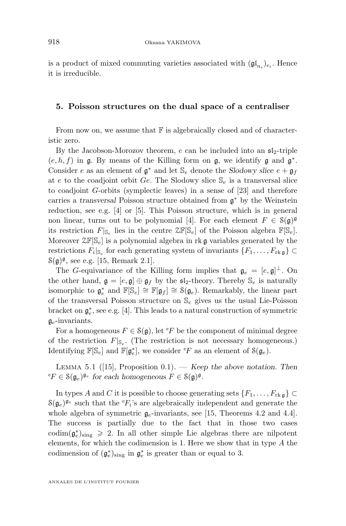<span id="page-16-0"></span>is a product of mixed commuting varieties associated with  $(\mathfrak{gl}_{n_i})_{e_i}$ . Hence it is irreducible.

#### **5. Poisson structures on the dual space of a centraliser**

From now on, we assume that  $\mathbb F$  is algebraically closed and of characteristic zero.

By the Jacobson-Morozov theorem, e can be included into an  $\mathfrak{sl}_2$ -triple  $(e, h, f)$  in  $\mathfrak g$ . By means of the Killing form on  $\mathfrak g$ , we identify  $\mathfrak g$  and  $\mathfrak g^*$ . Consider e as an element of  $\mathfrak{g}^*$  and let  $\mathbb{S}_e$  denote the *Slodowy slice*  $e + \mathfrak{g}_f$ at e to the coadjoint orbit Ge. The Slodowy slice  $\mathcal{S}_e$  is a transversal slice to coadjoint G-orbits (symplectic leaves) in a sense of [\[23\]](#page-33-0) and therefore carries a *transversal* Poisson structure obtained from g <sup>∗</sup> by the Weinstein reduction, see e.g. [\[4\]](#page-32-0) or [\[5\]](#page-32-0). This Poisson structure, which is in general non linear, turns out to be polynomial [\[4\]](#page-32-0). For each element  $F \in \mathcal{S}(\mathfrak{g})^{\mathfrak{g}}$ its restriction  $F|_{\mathbb{S}_e}$  lies in the centre  $\mathbb{ZF}[\mathbb{S}_e]$  of the Poisson algebra  $\mathbb{F}[\mathbb{S}_e]$ . Moreover  $\mathfrak{S}_{\epsilon}$  is a polynomial algebra in rk g variables generated by the restrictions  $F_i|_{\mathbb{S}_e}$  for each generating system of invariants  $\{F_1, \ldots, F_{\text{rk}, \mathfrak{g}}\} \subset$  $\mathcal{S}(\mathfrak{g})^{\mathfrak{g}},$  see e.g. [\[15,](#page-32-0) Remark 2.1].

The G-equivariance of the Killing form implies that  $\mathfrak{g}_e = [e, \mathfrak{g}]^{\perp}$ . On the other hand,  $\mathfrak{g} = [e, \mathfrak{g}] \oplus \mathfrak{g}_f$  by the  $\mathfrak{sl}_2$ -theory. Thereby  $\mathbb{S}_e$  is naturally isomorphic to  $\mathfrak{g}_e^*$  and  $\mathbb{F}[\mathbb{S}_e] \cong \mathbb{F}[\mathfrak{g}_f] \cong \mathfrak{S}(\mathfrak{g}_e)$ . Remarkably, the linear part of the transversal Poisson structure on  $\mathbb{S}_e$  gives us the usual Lie-Poisson bracket on  $\mathfrak{g}^*_e$ , see e.g. [\[4\]](#page-32-0). This leads to a natural construction of symmetric  $\mathfrak{g}_e$ -invariants.

For a homogeneous  $F \in \mathcal{S}(\mathfrak{g})$ , let <sup>e</sup>F be the component of minimal degree of the restriction  $F|_{\mathbb{S}_e}$ . (The restriction is not necessary homogeneous.) Identifying  $\mathbb{F}[\mathbb{S}_e]$  and  $\mathbb{F}[\mathfrak{g}_e^*]$ , we consider  ${}^e\!F$  as an element of  $\mathcal{S}(\mathfrak{g}_e)$ .

Lemma 5.1 ([\[15\]](#page-32-0), Proposition 0.1). — *Keep the above notation. Then*  ${}^e F \in \mathcal{S}(\mathfrak{g}_e)^{\mathfrak{g}_e}$  for each homogeneous  $F \in \mathcal{S}(\mathfrak{g})^{\mathfrak{g}}$ .

In types A and C it is possible to choose generating sets  $\{F_1, \ldots, F_{\text{rk}\,\mathfrak{g}}\}\subset$  $S(g_e)^{g_e}$  such that the  ${}^eF_i$ 's are algebraically independent and generate the whole algebra of symmetric  $g_e$ -invariants, see [\[15,](#page-32-0) Theorems 4.2 and 4.4]. The success is partially due to the fact that in those two cases  $\text{codim}(\mathfrak{g}_e^*)_{\text{sing}} \geq 2$ . In all other simple Lie algebras there are nilpotent elements, for which the codimension is 1. Here we show that in type A the codimension of  $(\mathfrak{g}_e^*)_{\text{sing}}$  in  $\mathfrak{g}_e^*$  is greater than or equal to 3.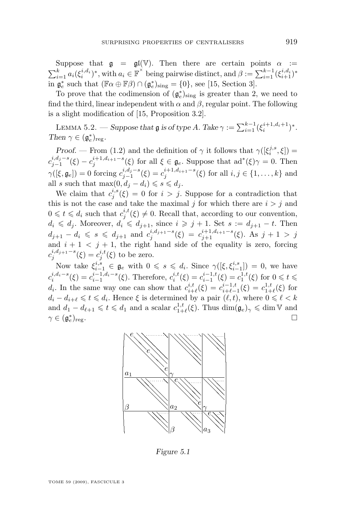<span id="page-17-0"></span>Suppose that  $\mathfrak{g} = \mathfrak{gl}(\mathbb{V})$ . Then there are certain points  $\alpha :=$  $\sum_{i=1}^k a_i(\xi_i^{i,d_i})^*$ , with  $a_i \in \mathbb{F}^\times$  being pairwise distinct, and  $\beta := \sum_{i=1}^{k-1} (\xi_{i+1}^{i,d_i})^*$ in  $\mathfrak{g}_e^*$  such that  $(\mathbb{F}\alpha \oplus \mathbb{F}\beta) \cap (\mathfrak{g}_e^*)_{\text{sing}} = \{0\}$ , see [\[15,](#page-32-0) Section 3].

To prove that the codimension of  $(\mathfrak{g}_e^*)_{\text{sing}}$  is greater than 2, we need to find the third, linear independent with  $\alpha$  and  $\beta$ , regular point. The following is a slight modification of [\[15,](#page-32-0) Proposition 3.2].

LEMMA 5.2. — *Suppose that* **g** *is of type A*. Take  $\gamma := \sum_{i=1}^{k-1} (\xi_i^{i+1, d_i+1})^*$ . *Then*  $\gamma \in (\mathfrak{g}_e^*)_{\text{reg}}$ *.* 

*Proof.* — From [\(1.2\)](#page-5-0) and the definition of  $\gamma$  it follows that  $\gamma([\xi_i^{j,s}, \xi])$  =  $c_{j-1}^{i,d_j-s}(\xi) - c_j^{i+1,d_{i+1}-s}(\xi)$  for all  $\xi \in \mathfrak{g}_e$ . Suppose that  $ad^*(\xi)\gamma = 0$ . Then  $\gamma([\xi, \mathfrak{g}_e]) = 0$  forcing  $c_{j-1}^{i,d_j-s}(\xi) = c_j^{i+1,d_{i+1}-s}(\xi)$  for all  $i, j \in \{1, ..., k\}$  and all s such that  $\max(0, d_i - d_i) \leqslant s \leqslant d_i$ .

We claim that  $c_j^{i,s}(\xi) = 0$  for  $i > j$ . Suppose for a contradiction that this is not the case and take the maximal j for which there are  $i > j$  and  $0 \leq t \leq d_i$  such that  $c_j^{i,t}(\xi) \neq 0$ . Recall that, according to our convention,  $d_i \leq d_j$ . Moreover,  $d_i \leq d_{j+1}$ , since  $i \geq j+1$ . Set  $s := d_{j+1} - t$ . Then  $d_{j+1} - d_i \leqslant s \leqslant d_{j+1}$  and  $c_j^{i,d_{j+1}-s}(\xi) = c_{j+1}^{i+1,d_{i+1}-s}(\xi)$ . As  $j+1 > j$ and  $i + 1 < j + 1$ , the right hand side of the equality is zero, forcing  $c_j^{i,d_{j+1}-s}(\xi) = c_j^{i,t}(\xi)$  to be zero.

Now take  $\xi_{i-1}^{i,s} \in \mathfrak{g}_e$  with  $0 \leq s \leq d_i$ . Since  $\gamma([\xi, \xi_{i-1}^{i,s}]) = 0$ , we have  $c_i^{i,d_i-s}(\xi) = c_{i-1}^{i-1,d_i-s}(\xi)$ . Therefore,  $c_i^{i,t}(\xi) = c_{i-1}^{i-1,t}(\xi) = c_1^{1,t}(\xi)$  for  $0 \leq t \leq$ d<sub>i</sub>. In the same way one can show that  $c_{i+\ell}^{i,t}(\xi) = c_{i+\ell-1}^{i-1,t}(\xi) = c_{1+\ell}^{1,t}(\xi)$  for  $d_i - d_{i+\ell} \leqslant t \leqslant d_i$ . Hence  $\xi$  is determined by a pair  $(\ell, t)$ , where  $0 \leqslant \ell < k$ and  $d_1 - d_{\ell+1} \leqslant t \leqslant d_1$  and a scalar  $c_{1+\ell}^{1,t}(\xi)$ . Thus  $\dim(\mathfrak{g}_e)_{\gamma} \leqslant \dim \mathbb{V}$  and  $\gamma \in (\mathfrak{g}^*_e$  $\log$ .



*Figure 5.1*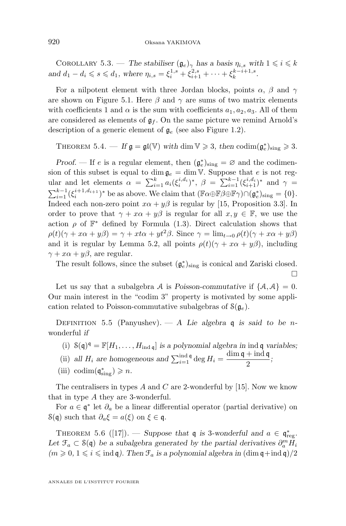<span id="page-18-0"></span>COROLLARY 5.3. — *The stabiliser*  $(\mathfrak{g}_e)_{\gamma}$  *has a basis*  $\eta_{i,s}$  *with*  $1 \leqslant i \leqslant k$ and  $d_1 - d_i \leq s \leq d_1$ , where  $\eta_{i,s} = \xi_i^{1,s} + \xi_{i+1}^{2,s} + \cdots + \xi_k^{k-i+1,s}$ .

For a nilpotent element with three Jordan blocks, points  $\alpha$ ,  $\beta$  and  $\gamma$ are shown on Figure [5.1.](#page-17-0) Here  $\beta$  and  $\gamma$  are sums of two matrix elements with coefficients 1 and  $\alpha$  is the sum with coefficients  $a_1, a_2, a_3$ . All of them are considered as elements of  $\mathfrak{g}_f$ . On the same picture we remind Arnold's description of a generic element of  $g_e$  (see also Figure 1.2).

THEOREM 5.4. — If  $\mathfrak{g} = \mathfrak{gl}(\mathbb{V})$  with dim  $\mathbb{V} \geq 3$ , then  $\text{codim}(\mathfrak{g}_e^*)_{\text{sing}} \geq 3$ .

*Proof.* — If e is a regular element, then  $(\mathfrak{g}_e^*)_{sing} = \emptyset$  and the codimension of this subset is equal to  $\dim \mathfrak{g}_e = \dim V$ . Suppose that e is not regular and let elements  $\alpha = \sum_{i=1}^k a_i(\xi_i^{i,d_i})^*, \ \beta = \sum_{i=1}^{k-1}(\xi_{i+1}^{i,d_i})^*$  and  $\gamma =$  $\sum_{i=1}^{k-1} (\xi_i^{i+1, d_{i+1}})^*$  be as above. We claim that  $(\mathbb{F}\alpha \oplus \mathbb{F}\beta \oplus \mathbb{F}\gamma) \cap (\mathfrak{g}_e^*)_{\text{sing}} = \{0\}.$ Indeed each non-zero point  $x\alpha + y\beta$  is regular by [\[15,](#page-32-0) Proposition 3.3]. In order to prove that  $\gamma + x\alpha + y\beta$  is regular for all  $x, y \in \mathbb{F}$ , we use the action  $\rho$  of  $\mathbb{F}^*$  defined by Formula [\(1.3\)](#page-6-0). Direct calculation shows that  $\rho(t)(\gamma + x\alpha + y\beta) = \gamma + xt\alpha + yt^2\beta$ . Since  $\gamma = \lim_{t\to 0} \rho(t)(\gamma + x\alpha + y\beta)$ and it is regular by Lemma [5.2,](#page-17-0) all points  $\rho(t)(\gamma + x\alpha + y\beta)$ , including  $\gamma + x\alpha + y\beta$ , are regular.

The result follows, since the subset  $(\mathfrak{g}^*_e)_{\text{sing}}$  is conical and Zariski closed.  $\Box$ 

Let us say that a subalgebra A is *Poisson-commutative* if  $\{A, A\} = 0$ . Our main interest in the "codim 3" property is motivated by some application related to Poisson-commutative subalgebras of  $\mathcal{S}(\mathfrak{g}_e)$ .

DEFINITION 5.5 (Panyushev). — A Lie algebra q is said to be nwonderful *if*

- (i)  $S(\mathfrak{q})^{\mathfrak{q}} = \mathbb{F}[H_1, \ldots, H_{\text{ind } \mathfrak{q}}]$  *is a polynomial algebra in* ind  $\mathfrak{q}$  *variables*;
- (ii) *all*  $H_i$  are homogeneous and  $\sum_{i=1}^{\text{ind } \mathfrak{q}} \deg H_i = \frac{\dim \mathfrak{q} + \text{ind } \mathfrak{q}}{2}$  $\frac{1-\ln 4}{2}$ ;
- (iii) codim $(\mathfrak{q}^*_{sing}) \geq n$ .

The centralisers in types  $A$  and  $C$  are 2-wonderful by [\[15\]](#page-32-0). Now we know that in type A they are 3-wonderful.

For  $a \in \mathfrak{q}^*$  let  $\partial_a$  be a linear differential operator (partial derivative) on S(q) such that  $\partial_a \xi = a(\xi)$  on  $\xi \in \mathfrak{q}$ .

THEOREM 5.6 ([\[17\]](#page-32-0)). — *Suppose that*  $\mathfrak{q}$  *is* 3-wonderful and  $a \in \mathfrak{q}^*_{\text{reg}}$ . Let  $\mathfrak{F}_a \subset \mathcal{S}(\mathfrak{q})$  *be a subalgebra generated by the partial derivatives*  $\partial_a^m \tilde{H}_i$  $(m \geq 0, 1 \leq i \leq \text{ind } \mathfrak{q})$ . Then  $\mathfrak{F}_a$  *is a polynomial algebra in*  $(\dim \mathfrak{q} + \text{ind } \mathfrak{q})/2$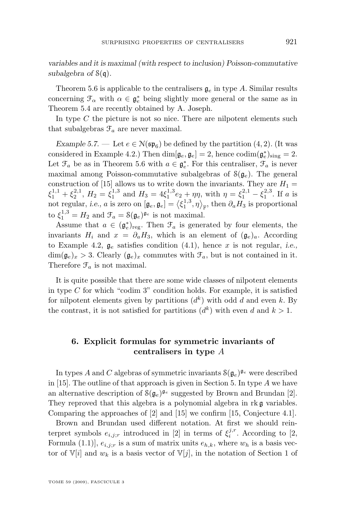<span id="page-19-0"></span>*variables and it is maximal (with respect to inclusion) Poisson-commutative subalgebra of* S(q)*.*

Theorem [5.6](#page-18-0) is applicable to the centralisers  $\mathfrak{g}_e$  in type A. Similar results concerning  $\mathcal{F}_{\alpha}$  with  $\alpha \in \mathfrak{g}_e^*$  being slightly more general or the same as in Theorem [5.4](#page-18-0) are recently obtained by A. Joseph.

In type  $C$  the picture is not so nice. There are nilpotent elements such that subalgebras  $\mathcal{F}_a$  are never maximal.

*Example 5.7.* — Let  $e \in N(\mathfrak{sp}_6)$  be defined by the partition  $(4, 2)$ . (It was considered in Example [4.2.](#page-11-0)) Then  $\dim[\mathfrak{g}_e, \mathfrak{g}_e] = 2$ , hence  $\mathrm{codim}(\mathfrak{g}_e^*)_{\text{sing}} = 2$ . Let  $\mathcal{F}_a$  be as in Theorem [5.6](#page-18-0) with  $a \in \mathfrak{g}_e^*$ . For this centraliser,  $\mathcal{F}_a$  is never maximal among Poisson-commutative subalgebras of  $\mathcal{S}(\mathfrak{g}_e)$ . The general construction of [\[15\]](#page-32-0) allows us to write down the invariants. They are  $H_1 =$  $\xi_1^{1,1} + \xi_2^{2,1}, H_2 = \xi_1^{1,3}$  and  $H_3 = 4\xi_1^{1,3}e_2 + \eta\eta$ , with  $\eta = \xi_1^{2,1} - \xi_1^{2,3}$ . If a is not regular, *i.e.*, *a* is zero on  $[\mathfrak{g}_e, \mathfrak{g}_e] = \left\langle \xi_1^{1,3}, \eta \right\rangle_{\mathbb{F}}$ , then  $\partial_a H_3$  is proportional to  $\xi_1^{1,3} = H_2$  and  $\mathcal{F}_a = \mathcal{S}(\mathfrak{g}_e)^{\mathfrak{g}_e}$  is not maximal.

Assume that  $a \in (\mathfrak{g}_e^*)_{\text{reg}}$ . Then  $\mathfrak{F}_a$  is generated by four elements, the invariants  $H_i$  and  $x = \partial_a H_3$ , which is an element of  $(\mathfrak{g}_e)_a$ . According to Example [4.2,](#page-11-0)  $\mathfrak{g}_e$  satisfies condition [\(4.1\)](#page-11-0), hence x is not regular, *i.e.*,  $\dim(\mathfrak{g}_e)_x > 3$ . Clearly  $(\mathfrak{g}_e)_x$  commutes with  $\mathfrak{F}_a$ , but is not contained in it. Therefore  $\mathcal{F}_a$  is not maximal.

It is quite possible that there are some wide classes of nilpotent elements in type  $C$  for which "codim 3" condition holds. For example, it is satisfied for nilpotent elements given by partitions  $(d<sup>k</sup>)$  with odd d and even k. By the contrast, it is not satisfied for partitions  $(d<sup>k</sup>)$  with even d and  $k > 1$ .

#### **6. Explicit formulas for symmetric invariants of centralisers in type** A

In types A and C algebras of symmetric invariants  $S(g_e)^{g_e}$  were described in [\[15\]](#page-32-0). The outline of that approach is given in Section [5.](#page-16-0) In type A we have an alternative description of  $\mathcal{S}(\mathfrak{g}_e)^{\mathfrak{g}_e}$  suggested by Brown and Brundan [\[2\]](#page-32-0). They reproved that this algebra is a polynomial algebra in rk g variables. Comparing the approaches of [\[2\]](#page-32-0) and [\[15\]](#page-32-0) we confirm [\[15,](#page-32-0) Conjecture 4.1].

Brown and Brundan used different notation. At first we should reinterpret symbols  $e_{i,j;r}$  introduced in [\[2\]](#page-32-0) in terms of  $\xi_i^{j,r}$ . According to [\[2,](#page-32-0) Formula (1.1)],  $e_{i,j;r}$  is a sum of matrix units  $e_{h,k}$ , where  $w_h$  is a basis vector of  $\mathbb{V}[i]$  and  $w_k$  is a basis vector of  $\mathbb{V}[j]$ , in the notation of Section [1](#page-4-0) of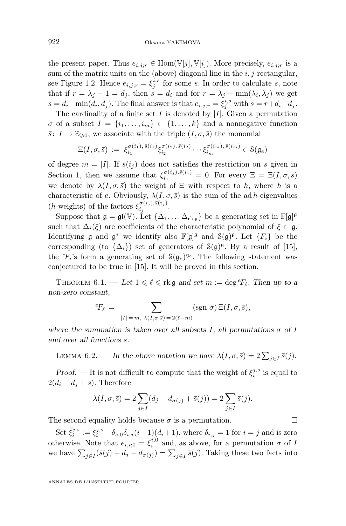<span id="page-20-0"></span>the present paper. Thus  $e_{i,j;r} \in \text{Hom}(\mathbb{V}[j], \mathbb{V}[i])$ . More precisely,  $e_{i,j;r}$  is a sum of the matrix units on the (above) diagonal line in the  $i, j$ -rectangular, see Figure [1.2.](#page-5-0) Hence  $e_{i,j;r} = \xi_j^{i,s}$  for some s. In order to calculate s, note that if  $r = \lambda_j - 1 = d_j$ , then  $s = d_i$  and for  $r = \lambda_j - \min(\lambda_i, \lambda_j)$  we get  $s = d_i - \min(d_i, d_j)$ . The final answer is that  $e_{i,j;r} = \xi_j^{i,s}$  with  $s = r + d_i - d_j$ .

The cardinality of a finite set  $I$  is denoted by  $|I|$ . Given a permutation  $\sigma$  of a subset  $I = \{i_1, \ldots, i_m\} \subset \{1, \ldots, k\}$  and a nonnegative function  $\bar{s}: I \to \mathbb{Z}_{\geqslant 0}$ , we associate with the triple  $(I, \sigma, \bar{s})$  the monomial

$$
\Xi(I,\sigma,\bar{s})\;:=\;\xi^{\sigma(i_1),\,\bar{s}(i_1)}_{i_1}\xi^{\sigma(i_2),\,\bar{s}(i_2)}_{i_2}\cdots\xi^{\sigma(i_m),\,\bar{s}(i_m)}_{i_m}\in\mathcal{S}(\mathfrak{g}_e)
$$

of degree  $m = |I|$ . If  $\bar{s}(i_j)$  does not satisfies the restriction on s given in Section [1,](#page-4-0) then we assume that  $\xi_{i_j}^{\sigma(i_j),\bar{s}(i_j)}=0$ . For every  $\Xi=\Xi(I,\sigma,\bar{s})$ we denote by  $\lambda(I,\sigma,\bar{s})$  the weight of  $\Xi$  with respect to h, where h is a characteristic of e. Obviously,  $\lambda(I, \sigma, \bar{s})$  is the sum of the ad h-eigenvalues (*h*-weights) of the factors  $\xi_{i,j}^{\sigma(i_j),\bar{s}(i_j)}$  $\frac{a_{ij},a_{ij}}{a_{ij}}$ .

Suppose that  $\mathfrak{g} = \mathfrak{gl}(\mathbb{V})$ . Let  $\{\Delta_1, \ldots, \Delta_{rkg}\}\$ be a generating set in  $\mathbb{F}[\mathfrak{g}]^{\mathfrak{g}}$ such that  $\Delta_i(\xi)$  are coefficients of the characteristic polynomial of  $\xi \in \mathfrak{g}$ . Identifying **g** and  $\mathfrak{g}^*$  we identify also  $\mathbb{F}[\mathfrak{g}]^{\mathfrak{g}}$  and  $\mathcal{S}(\mathfrak{g})^{\mathfrak{g}}$ . Let  $\{F_i\}$  be the corresponding (to  $\{\Delta_i\}$ ) set of generators of  $S(\mathfrak{g})^{\mathfrak{g}}$ . By a result of [\[15\]](#page-32-0), the  ${}^e\!F_i$ 's form a generating set of  $\mathcal{S}(\mathfrak{g}_e)^{\mathfrak{g}_e}$ . The following statement was conjectured to be true in [\[15\]](#page-32-0). It will be proved in this section.

THEOREM  $6.1.$  — Let  $1 \leq \ell \leq \text{rk } \mathfrak{g}$  and set  $m := \text{deg }^e F_{\ell}$ . Then up to a *non-zero constant,*

$$
{}^{e}F_{\ell} = \sum_{|I|=m, \ \lambda(I,\sigma,\bar{s})=2(\ell-m)} (\text{sgn }\sigma) \Xi(I,\sigma,\bar{s}),
$$

*where the summation is taken over all subsets* I, all permutations  $\sigma$  of I *and over all functions*  $\bar{s}$ *.* 

LEMMA 6.2. — In the above notation we have  $\lambda(I, \sigma, \bar{s}) = 2\sum_{j \in I} \bar{s}(j)$ .

*Proof.* — It is not difficult to compute that the weight of  $\xi_i^{j,s}$  is equal to  $2(d_i - d_j + s)$ . Therefore

$$
\lambda(I, \sigma, \bar{s}) = 2 \sum_{j \in I} (d_j - d_{\sigma(j)} + \bar{s}(j)) = 2 \sum_{j \in I} \bar{s}(j).
$$

The second equality holds because  $\sigma$  is a permutation.

Set  $\tilde{\xi}_i^{j,s} := \xi_i^{j,s} - \delta_{s,0}\delta_{i,j}(i-1)(d_i+1)$ , where  $\delta_{i,j} = 1$  for  $i = j$  and is zero otherwise. Note that  $e_{i,i;0} = \xi_i^{i,0}$  and, as above, for a permutation  $\sigma$  of I we have  $\sum_{j\in I} (\bar{s}(j) + d_j - d_{\sigma(j)}) = \sum_{j\in I} \bar{s}(j)$ . Taking these two facts into

ANNALES DE L'INSTITUT FOURIER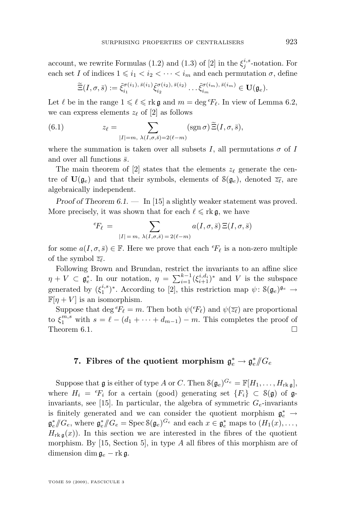<span id="page-21-0"></span>account, we rewrite Formulas (1.2) and (1.3) of [\[2\]](#page-32-0) in the  $\xi_j^{i,s}$ -notation. For each set I of indices  $1 \leq i_1 < i_2 < \cdots < i_m$  and each permutation  $\sigma$ , define

$$
\widetilde{\Xi}(I,\sigma,\overline{s}) := \widetilde{\xi}_{i_1}^{\sigma(i_1),\,\overline{s}(i_1)} \widetilde{\xi}_{i_2}^{\sigma(i_2),\,\overline{s}(i_2)} \dots \widetilde{\xi}_{i_m}^{\sigma(i_m),\,\overline{s}(i_m)} \in \mathbf{U}(\mathfrak{g}_e).
$$

Let  $\ell$  be in the range  $1 \leq \ell \leq r$ k g and  $m = \deg^e F_\ell$ . In view of Lemma [6.2,](#page-20-0) we can express elements  $z_{\ell}$  of [\[2\]](#page-32-0) as follows

(6.1) 
$$
z_{\ell} = \sum_{|I|=m, \ \lambda(I,\sigma,\bar{s})=2(\ell-m)} (\text{sgn}\,\sigma) \, \widetilde{\Xi}(I,\sigma,\bar{s}),
$$

where the summation is taken over all subsets I, all permutations  $\sigma$  of I and over all functions  $\bar{s}$ .

The main theorem of [\[2\]](#page-32-0) states that the elements  $z_{\ell}$  generate the centre of  $\mathbf{U}(\mathfrak{g}_e)$  and that their symbols, elements of  $\mathcal{S}(\mathfrak{g}_e)$ , denoted  $\overline{z_\ell}$ , are algebraically independent.

*Proof of Theorem [6.1.](#page-20-0) —* In [\[15\]](#page-32-0) a slightly weaker statement was proved. More precisely, it was shown that for each  $\ell \leq r k \mathfrak{g}$ , we have

$$
{}^{e}F_{\ell} = \sum_{|I| = m, \ \lambda(I, \sigma, \bar{s}) = 2(\ell - m)} a(I, \sigma, \bar{s}) \Xi(I, \sigma, \bar{s})
$$

for some  $a(I, \sigma, \bar{s}) \in \mathbb{F}$ . Here we prove that each  ${}^e\!F_\ell$  is a non-zero multiple of the symbol  $\overline{z_{\ell}}$ .

Following Brown and Brundan, restrict the invariants to an affine slice  $\eta + V \subset \mathfrak{g}_e^*$ . In our notation,  $\eta = \sum_{i=1}^{k-1} (\xi_{i+1}^{i,d_i})^*$  and V is the subspace generated by  $(\xi_1^{i,s})^*$ . According to [\[2\]](#page-32-0), this restriction map  $\psi: \mathcal{S}(\mathfrak{g}_e)^{\mathfrak{g}_e} \to$  $\mathbb{F}[n+V]$  is an isomorphism.

Suppose that deg  ${}^e\!F_\ell = m$ . Then both  $\psi({}^e\!F_\ell)$  and  $\psi(\overline{z_\ell})$  are proportional to  $\xi_1^{m,s}$  with  $s = \ell - (d_1 + \cdots + d_{m-1}) - m$ . This completes the proof of Theorem [6.1.](#page-20-0)

### 7. Fibres of the quotient morphism  $\mathfrak{g}_e^* \to \mathfrak{g}_e^* \# G_e$

Suppose that  $\mathfrak g$  is either of type A or C. Then  $\mathcal S(\mathfrak g_e)^{G_e} = \mathbb F[H_1,\ldots,H_{\mathrm{rk\,}\mathfrak g}],$ where  $H_i = {}^eF_i$  for a certain (good) generating set  ${F_i} \subset S(\mathfrak{g})$  of  $\mathfrak{g}$ -invariants, see [\[15\]](#page-32-0). In particular, the algebra of symmetric  $G_e$ -invariants is finitely generated and we can consider the quotient morphism  $\mathfrak{g}^*_e$   $\rightarrow$  $\mathfrak{g}^*_e/\!\!/ G_e$ , where  $\mathfrak{g}^*_e/\!\!/ G_e = \text{Spec } \mathcal{S}(\mathfrak{g}_e)^{G_e}$  and each  $x \in \mathfrak{g}^*_e$  maps to  $(H_1(x), \ldots,$  $H_{\text{rk}\,\mathfrak{g}}(x)$ . In this section we are interested in the fibres of the quotient morphism. By [\[15,](#page-32-0) Section 5], in type A all fibres of this morphism are of dimension dim  $\mathfrak{g}_e$  – rk  $\mathfrak{g}$ .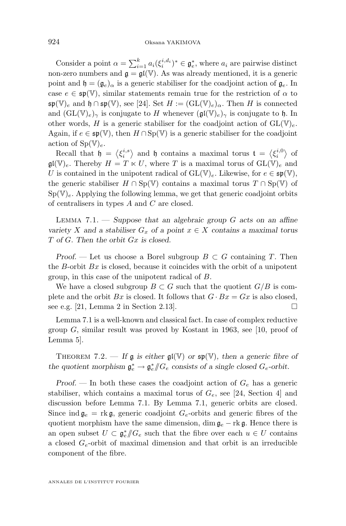<span id="page-22-0"></span>Consider a point  $\alpha = \sum_{i=1}^{k} a_i (\xi_i^{i,d_i})^* \in \mathfrak{g}_e^*$ , where  $a_i$  are pairwise distinct non-zero numbers and  $\mathfrak{g} = \mathfrak{gl}(\mathbb{V})$ . As was already mentioned, it is a generic point and  $\mathfrak{h} = (\mathfrak{g}_e)_{\alpha}$  is a generic stabiliser for the coadjoint action of  $\mathfrak{g}_e$ . In case  $e \in \mathfrak{sp}(\mathbb{V})$ , similar statements remain true for the restriction of  $\alpha$  to  $\mathfrak{sp}(\mathbb{V})_e$  and  $\mathfrak{h} \cap \mathfrak{sp}(\mathbb{V})$ , see [\[24\]](#page-33-0). Set  $H := (\mathrm{GL}(\mathbb{V})_e)_\alpha$ . Then H is connected and  $(GL(V)<sub>e</sub>)_{\gamma}$  is conjugate to H whenever  $(\mathfrak{gl}(V)<sub>e</sub>)_{\gamma}$  is conjugate to h. In other words, H is a generic stabiliser for the coadjoint action of  $GL(V)<sub>e</sub>$ . Again, if  $e \in \mathfrak{sp}(\mathbb{V})$ , then  $H \cap \mathrm{Sp}(\mathbb{V})$  is a generic stabiliser for the coadjoint action of  $Sp(\mathbb{V})_e$ .

Recall that  $\mathfrak{h} = \langle \xi_i^{i,s} \rangle$  and  $\mathfrak{h}$  contains a maximal torus  $\mathfrak{t} = \langle \xi_i^{i,0} \rangle$  of  $\mathfrak{gl}(\mathbb{V})_e$ . Thereby  $H = T \ltimes U$ , where T is a maximal torus of  $GL(\mathbb{V})_e$  and U is contained in the unipotent radical of  $GL(\mathbb{V})_e$ . Likewise, for  $e \in \mathfrak{sp}(\mathbb{V})$ , the generic stabiliser  $H \cap Sp(\mathbb{V})$  contains a maximal torus  $T \cap Sp(\mathbb{V})$  of  $Sp(V)<sub>e</sub>$ . Applying the following lemma, we get that generic coadjoint orbits of centralisers in types A and C are closed.

Lemma 7.1. — *Suppose that an algebraic group* G *acts on an affine variety* X and a stabiliser  $G_x$  of a point  $x \in X$  contains a maximal torus T *of* G*. Then the orbit* Gx *is closed.*

*Proof.* — Let us choose a Borel subgroup  $B \subset G$  containing T. Then the B-orbit  $Bx$  is closed, because it coincides with the orbit of a unipotent group, in this case of the unipotent radical of B.

We have a closed subgroup  $B \subset G$  such that the quotient  $G/B$  is complete and the orbit  $Bx$  is closed. It follows that  $G \cdot Bx = Gx$  is also closed, see e.g. [\[21,](#page-33-0) Lemma 2 in Section 2.13].

Lemma 7.1 is a well-known and classical fact. In case of complex reductive group  $G$ , similar result was proved by Kostant in 1963, see [\[10,](#page-32-0) proof of Lemma 5].

THEOREM 7.2. — If  $\mathfrak{g}$  is either  $\mathfrak{gl}(\mathbb{V})$  or  $\mathfrak{sp}(\mathbb{V})$ , then a generic fibre of the quotient morphism  $\mathfrak{g}^*_{e} \to \mathfrak{g}^*_{e}/\!\!/ G_e$  consists of a single closed  $G_e$ -orbit.

*Proof.* — In both these cases the coadjoint action of  $G_e$  has a generic stabiliser, which contains a maximal torus of  $G_e$ , see [\[24,](#page-33-0) Section 4] and discussion before Lemma 7.1. By Lemma 7.1, generic orbits are closed. Since ind  $\mathfrak{g}_e = \text{rk } \mathfrak{g}$ , generic coadjoint  $G_e$ -orbits and generic fibres of the quotient morphism have the same dimension, dim  $\mathfrak{g}_e$  – rk  $\mathfrak{g}$ . Hence there is an open subset  $U \subset \mathfrak{g}_e^*/\!\!/ G_e$  such that the fibre over each  $u \in U$  contains a closed  $G_e$ -orbit of maximal dimension and that orbit is an irreducible component of the fibre.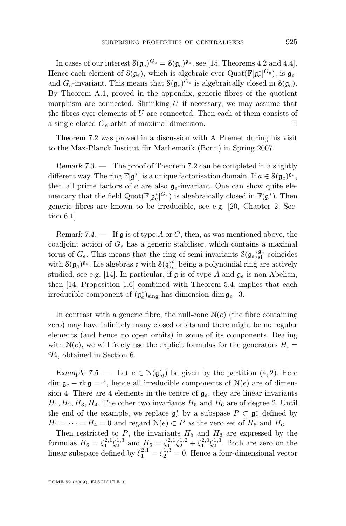In cases of our interest  $\mathcal{S}(\mathfrak{g}_e)^{G_e} = \mathcal{S}(\mathfrak{g}_e)^{\mathfrak{g}_e}$ , see [\[15,](#page-32-0) Theorems 4.2 and 4.4]. Hence each element of  $\mathcal{S}(\mathfrak{g}_e)$ , which is algebraic over  $\text{Quot}(\mathbb{F}[\mathfrak{g}_e^*]^{G_e})$ , is  $\mathfrak{g}_e$ and  $G_e$ -invariant. This means that  $\mathcal{S}(\mathfrak{g}_e)^{G_e}$  is algebraically closed in  $\mathcal{S}(\mathfrak{g}_e)$ . By Theorem [A.1,](#page-30-0) proved in the appendix, generic fibres of the quotient morphism are connected. Shrinking  $U$  if necessary, we may assume that the fibres over elements of  $U$  are connected. Then each of them consists of a single closed  $G_e$ -orbit of maximal dimension.

Theorem [7.2](#page-22-0) was proved in a discussion with A. Premet during his visit to the Max-Planck Institut für Mathematik (Bonn) in Spring 2007.

*Remark 7.3. —* The proof of Theorem [7.2](#page-22-0) can be completed in a slightly different way. The ring  $\mathbb{F}[\mathfrak{g}^*]$  is a unique factorisation domain. If  $a \in \mathcal{S}(\mathfrak{g}_e)^{\mathfrak{g}_e}$ , then all prime factors of a are also  $\mathfrak{g}_e$ -invariant. One can show quite elementary that the field  $Quot(\mathbb{F}[\mathfrak{g}_e^*]^{G_e})$  is algebraically closed in  $\mathbb{F}(\mathfrak{g}^*)$ . Then generic fibres are known to be irreducible, see e.g. [\[20,](#page-32-0) Chapter 2, Section 6.1].

*Remark 7.4. —* If g is of type A or C, then, as was mentioned above, the coadjoint action of  $G_e$  has a generic stabiliser, which contains a maximal torus of  $G_e$ . This means that the ring of semi-invariants  $\mathcal{S}(\mathfrak{g}_e)_{\rm si}^{\mathfrak{g}_e}$  coincides with  $S(g_e)^{g_e}$ . Lie algebras q with  $S(q)_{si}^q$  being a polynomial ring are actively studied, see e.g. [\[14\]](#page-32-0). In particular, if  $\mathfrak g$  is of type A and  $\mathfrak g_e$  is non-Abelian, then [\[14,](#page-32-0) Proposition 1.6] combined with Theorem [5.4,](#page-18-0) implies that each irreducible component of  $(\mathfrak{g}_e^*)_{\text{sing}}$  has dimension dim  $\mathfrak{g}_e-3$ .

In contrast with a generic fibre, the null-cone  $N(e)$  (the fibre containing zero) may have infinitely many closed orbits and there might be no regular elements (and hence no open orbits) in some of its components. Dealing with  $N(e)$ , we will freely use the explicit formulas for the generators  $H_i =$  ${}^e\!F_i$ , obtained in Section [6.](#page-19-0)

*Example 7.5.* — Let  $e \in N(\mathfrak{gl}_6)$  be given by the partition  $(4, 2)$ . Here  $\dim \mathfrak{g}_e - \text{rk } \mathfrak{g} = 4$ , hence all irreducible components of  $\mathcal{N}(e)$  are of dimension 4. There are 4 elements in the centre of  $g_e$ , they are linear invariants  $H_1, H_2, H_3, H_4$ . The other two invariants  $H_5$  and  $H_6$  are of degree 2. Until the end of the example, we replace  $\mathfrak{g}_e^*$  by a subspase  $P \subset \mathfrak{g}_e^*$  defined by  $H_1 = \cdots = H_4 = 0$  and regard  $\mathcal{N}(e) \subset P$  as the zero set of  $H_5$  and  $H_6$ .

Then restricted to  $P$ , the invariants  $H_5$  and  $H_6$  are expressed by the formulas  $H_6 = \xi_1^{2,1} \xi_2^{1,3}$  and  $H_5 = \xi_1^{2,1} \xi_2^{1,2} + \xi_1^{2,0} \xi_2^{1,3}$ . Both are zero on the linear subspace defined by  $\xi_1^{2,1} = \xi_2^{1,3} = 0$ . Hence a four-dimensional vector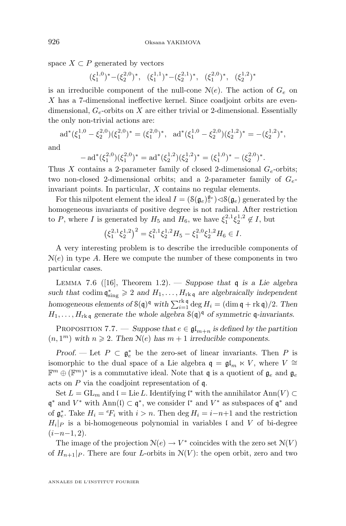<span id="page-24-0"></span>space  $X \subset P$  generated by vectors

 $(\xi_1^{1,0})^*-(\xi_2^{2,0})^*, \quad (\xi_1^{1,1})^*-(\xi_2^{2,1})^*, \quad (\xi_1^{2,0})^*, \quad (\xi_2^{1,2})^*$ 

is an irreducible component of the null-cone  $N(e)$ . The action of  $G_e$  on X has a 7-dimensional ineffective kernel. Since coadjoint orbits are evendimensional,  $G_e$ -orbits on X are either trivial or 2-dimensional. Essentially the only non-trivial actions are:

$$
\mathrm{ad}^*(\xi_1^{1,0} - \xi_2^{2,0})(\xi_1^{2,0})^* = (\xi_1^{2,0})^*, \ \mathrm{ad}^*(\xi_1^{1,0} - \xi_2^{2,0})(\xi_2^{1,2})^* = -(\xi_2^{1,2})^*,
$$

and

$$
- ad^*(\xi_1^{2,0})(\xi_1^{2,0})^* = ad^*(\xi_2^{1,2})(\xi_2^{1,2})^* = (\xi_1^{1,0})^* - (\xi_2^{2,0})^*
$$

.

Thus X contains a 2-parameter family of closed 2-dimensional  $G_e$ -orbits; two non-closed 2-dimensional orbits; and a 2-parameter family of  $G_e$ invariant points. In particular, X contains no regular elements.

For this nilpotent element the ideal  $I = (\mathcal{S}(\mathfrak{g}_e)^{\mathfrak{g}_e}) \triangleleft \mathcal{S}(\mathfrak{g}_e)$  generated by the homogeneous invariants of positive degree is not radical. After restriction to P, where I is generated by  $H_5$  and  $H_6$ , we have  $\xi_1^{2,1}\xi_2^{1,2} \notin I$ , but

$$
\left(\xi_1^{2,1}\xi_2^{1,2}\right)^2 = \xi_1^{2,1}\xi_2^{1,2}H_5 - \xi_1^{2,0}\xi_2^{1,2}H_6 \in I.
$$

A very interesting problem is to describe the irreducible components of  $N(e)$  in type A. Here we compute the number of these components in two particular cases.

Lemma 7.6 ([\[16\]](#page-32-0), Theorem 1.2). — *Suppose that* q *is a Lie algebra* such that codim  $\mathfrak{q}_{sing}^* \geq 2$  *and*  $H_1, \ldots, H_{rk\mathfrak{q}}$  *are algebraically independent homogeneous elements of*  $\mathcal{S}(\mathfrak{q})^{\mathfrak{q}}$  *with*  $\sum_{i=1}^{\text{rk } \mathfrak{q}} \deg H_i = (\dim \mathfrak{q} + \text{rk } \mathfrak{q})/2$ *. Then*  $H_1, \ldots, H_{rk\,\mathfrak{q}}$  generate the whole algebra  $\mathcal{S}(\mathfrak{q})^{\mathfrak{q}}$  of symmetric  $\mathfrak{q}$ -invariants.

PROPOSITION 7.7. — *Suppose that*  $e \in \mathfrak{gl}_{m+n}$  *is defined by the partition*  $(n, 1<sup>m</sup>)$  with  $n \ge 2$ . Then  $N(e)$  has  $m + 1$  *irreducible components.* 

*Proof.* — Let  $P \subset \mathfrak{g}_e^*$  be the zero-set of linear invariants. Then P is isomorphic to the dual space of a Lie algebra  $\mathfrak{q} = \mathfrak{gl}_m \ltimes V$ , where  $V \cong$  $\mathbb{F}^m \oplus (\mathbb{F}^m)^*$  is a commutative ideal. Note that  $\mathfrak{q}$  is a quotient of  $\mathfrak{g}_e$  and  $\mathfrak{g}_e$ acts on P via the coadjoint representation of q.

Set  $L = GL_m$  and  $\mathfrak{l} = \text{Lie } L$ . Identifying  $\mathfrak{l}^*$  with the annihilator  $\text{Ann}(V) \subset$  $\mathfrak{q}^*$  and  $V^*$  with Ann(l)  $\subset \mathfrak{q}^*$ , we consider l<sup>\*</sup> and  $V^*$  as subspaces of  $\mathfrak{q}^*$  and of  $\mathfrak{g}_e^*$ . Take  $H_i = {}^eF_i$  with  $i > n$ . Then  $\deg H_i = i - n + 1$  and the restriction  $H_i|_P$  is a bi-homogeneous polynomial in variables l and V of bi-degree  $(i-n-1, 2)$ .

The image of the projection  $\mathcal{N}(e) \to V^*$  coincides with the zero set  $\mathcal{N}(V)$ of  $H_{n+1}|_P$ . There are four *L*-orbits in  $N(V)$ : the open orbit, zero and two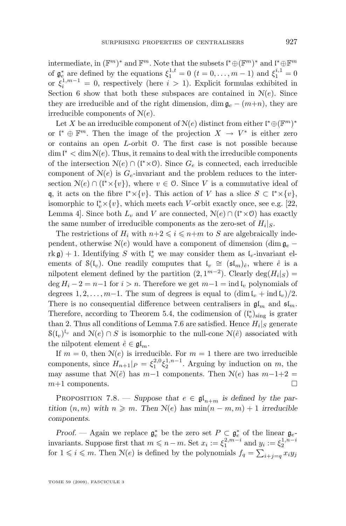intermediate, in  $(\mathbb{F}^m)^*$  and  $\mathbb{F}^m$ . Note that the subsets  $\mathfrak{l}^* \oplus (\mathbb{F}^m)^*$  and  $\mathfrak{l}^* \oplus \mathbb{F}^m$ of  $\mathfrak{g}_{e}^{*}$  are defined by the equations  $\xi_1^{1,t} = 0$   $(t = 0, \ldots, m-1)$  and  $\xi_1^{i,1} = 0$ or  $\xi_i^{1,m-1} = 0$ , respectively (here  $i > 1$ ). Explicit formulas exhibited in Section [6](#page-19-0) show that both these subspaces are contained in  $N(e)$ . Since they are irreducible and of the right dimension, dim  $\mathfrak{g}_e - (m+n)$ , they are irreducible components of  $N(e)$ .

Let X be an irreducible component of  $N(e)$  distinct from either  $\mathfrak{l}^* \oplus (\mathbb{F}^m)^*$ or  $\mathfrak{l}^* \oplus \mathbb{F}^m$ . Then the image of the projection  $X \to V^*$  is either zero or contains an open L-orbit O. The first case is not possible because  $\dim \mathfrak{l}^* < \dim \mathcal{N}(e)$ . Thus, it remains to deal with the irreducible components of the intersection  $\mathcal{N}(e) \cap (\mathfrak{l}^* \times \mathcal{O})$ . Since  $G_e$  is connected, each irreducible component of  $N(e)$  is  $G_e$ -invariant and the problem reduces to the intersection  $\mathcal{N}(e) \cap (\mathfrak{l}^* \times \{v\})$ , where  $v \in \mathcal{O}$ . Since V is a commutative ideal of q, it acts on the fibre  $\mathfrak{l}^* \times \{v\}$ . This action of V has a slice  $S \subset \mathfrak{l}^* \times \{v\}$ , isomorphic to  $\mathfrak{t}_v^* \times \{v\}$ , which meets each V-orbit exactly once, see e.g. [\[22,](#page-33-0) Lemma 4]. Since both  $L_v$  and V are connected,  $\mathcal{N}(e) \cap (\mathfrak{l}^* \times \mathcal{O})$  has exactly the same number of irreducible components as the zero-set of  $H_i|_S$ .

The restrictions of  $H_i$  with  $n+2 \leq i \leq n+m$  to S are algebraically independent, otherwise  $N(e)$  would have a component of dimension (dim  $\mathfrak{g}_e$  – rk g) + 1. Identifying S with  $\mathfrak{l}_v^*$  we may consider them as  $\mathfrak{l}_v$ -invariant elements of  $\mathcal{S}(\mathfrak{l}_v)$ . One readily computes that  $\mathfrak{l}_v \cong (\mathfrak{sl}_m)_{\hat{e}},$  where  $\hat{e}$  is a nilpotent element defined by the partition  $(2, 1^{m-2})$ . Clearly  $\deg(H_i|_S)$  =  $\deg H_i - 2 = n-1$  for  $i > n$ . Therefore we get  $m-1 = \text{ind } \mathfrak{l}_v$  polynomials of degrees  $1, 2, \ldots, m-1$ . The sum of degrees is equal to  $(\dim I_n + \text{ind } I_n)/2$ . There is no consequential difference between centralisers in  $\mathfrak{gl}_m$  and  $\mathfrak{sl}_m$ . Therefore, according to Theorem [5.4,](#page-18-0) the codimension of  $(\mathfrak{l}_v^*)_{\text{sing}}$  is grater than 2. Thus all conditions of Lemma [7.6](#page-24-0) are satisfied. Hence  $H_i|_S$  generate  $S(I_v)^{I_v}$  and  $\mathcal{N}(e) \cap S$  is isomorphic to the null-cone  $\mathcal{N}(\hat{e})$  associated with the nilpotent element  $\hat{e} \in \mathfrak{gl}_m$ .

If  $m = 0$ , then  $N(e)$  is irreducible. For  $m = 1$  there are two irreducible components, since  $H_{n+1}|_P = \xi_1^{2,0} \xi_2^{1,n-1}$ . Arguing by induction on m, the may assume that  $\mathcal{N}(\hat{e})$  has  $m-1$  components. Then  $\mathcal{N}(e)$  has  $m-1+2=$  $m+1$  components.

PROPOSITION 7.8. — *Suppose that*  $e \in \mathfrak{gl}_{n+m}$  *is defined by the partition*  $(n, m)$  *with*  $n \geq m$ *. Then*  $N(e)$  *has*  $\min(n - m, m) + 1$  *irreducible components.*

*Proof.* — Again we replace  $\mathfrak{g}_e^*$  be the zero set  $P \subset \mathfrak{g}_e^*$  of the linear  $\mathfrak{g}_e$ invariants. Suppose first that  $m \leq n-m$ . Set  $x_i := \xi_1^{2,m-i}$  and  $y_i := \xi_2^{1,n-i}$ for  $1 \leq i \leq m$ . Then  $\mathcal{N}(e)$  is defined by the polynomials  $f_q = \sum_{i+j=q} x_i y_j$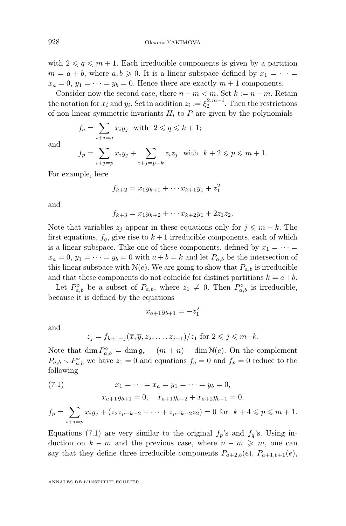with  $2 \leqslant q \leqslant m + 1$ . Each irreducible components is given by a partition  $m = a + b$ , where  $a, b \ge 0$ . It is a linear subspace defined by  $x_1 = \cdots =$  $x_a = 0, y_1 = \cdots = y_b = 0$ . Hence there are exactly  $m + 1$  components.

Consider now the second case, there  $n - m < m$ . Set  $k := n - m$ . Retain the notation for  $x_i$  and  $y_i$ . Set in addition  $z_i := \xi_2^{2,m-i}$ . Then the restrictions of non-linear symmetric invariants  $H_i$  to P are given by the polynomials

$$
f_q = \sum_{i+j=q} x_i y_j \quad \text{with} \quad 2 \leqslant q \leqslant k+1;
$$

and

$$
f_p = \sum_{i+j=p} x_i y_j + \sum_{i+j=p-k} z_i z_j \text{ with } k+2 \leqslant p \leqslant m+1.
$$

For example, here

$$
f_{k+2} = x_1 y_{k+1} + \dots + x_{k+1} y_1 + z_1^2
$$

and

$$
f_{k+3} = x_1 y_{k+2} + \cdots x_{k+2} y_1 + 2 z_1 z_2.
$$

Note that variables  $z_j$  appear in these equations only for  $j \leq m - k$ . The first equations,  $f_q$ , give rise to  $k+1$  irreducible components, each of which is a linear subspace. Take one of these components, defined by  $x_1 = \cdots =$  $x_a = 0, y_1 = \cdots = y_b = 0$  with  $a + b = k$  and let  $P_{a,b}$  be the intersection of this linear subspace with  $N(e)$ . We are going to show that  $P_{a,b}$  is irreducible and that these components do not coincide for distinct partitions  $k = a + b$ .

Let  $P_{a,b}^{\circ}$  be a subset of  $P_{a,b}$ , where  $z_1 \neq 0$ . Then  $P_{a,b}^{\circ}$  is irreducible, because it is defined by the equations

$$
x_{a+1}y_{b+1} = -z_1^2
$$

and

$$
z_j = f_{k+1+j}(\overline{x}, \overline{y}, z_2, \dots, z_{j-1})/z_1 \text{ for } 2 \leqslant j \leqslant m-k.
$$

Note that  $\dim P^{\circ}_{a,b} = \dim \mathfrak{g}_e - (m+n) - \dim \mathfrak{N}(e)$ . On the complement  $P_{a,b} \setminus P_{a,b}^{\circ}$  we have  $z_1 = 0$  and equations  $f_q = 0$  and  $f_p = 0$  reduce to the following

(7.1) 
$$
x_1 = \dots = x_a = y_1 = \dots = y_b = 0,
$$

$$
x_{a+1}y_{b+1} = 0, \quad x_{a+1}y_{b+2} + x_{a+2}y_{b+1} = 0
$$

$$
f_p = \sum_{i+j=p} x_i y_j + (z_2 z_{p-k-2} + \dots + z_{p-k-2} z_2) = 0 \text{ for } k+4 \leq p \leq m+1.
$$

Equations (7.1) are very similar to the original  $f_p$ 's and  $f_q$ 's. Using induction on  $k - m$  and the previous case, where  $n - m \geq m$ , one can say that they define three irreducible components  $P_{a+2,b}(\bar{e}), P_{a+1,b+1}(\bar{e}),$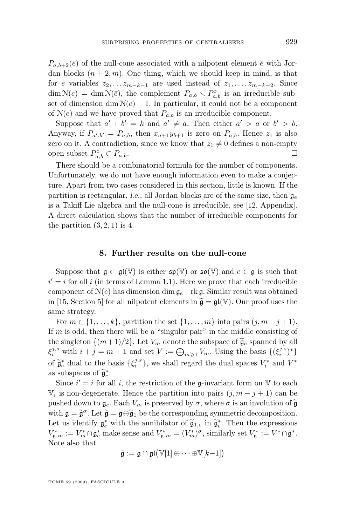<span id="page-27-0"></span> $P_{a,b+2}(\bar{e})$  of the null-cone associated with a nilpotent element  $\bar{e}$  with Jordan blocks  $(n+2, m)$ . One thing, which we should keep in mind, is that for  $\bar{e}$  variables  $z_2, \ldots z_{m-k-1}$  are used instead of  $z_1, \ldots, z_{m-k-2}$ . Since  $\dim \mathcal{N}(e) = \dim \mathcal{N}(\bar{e}),$  the complement  $P_{a,b} \setminus P_{a,b}^{\circ}$  is an irreducible subset of dimension dim  $N(e) - 1$ . In particular, it could not be a component of  $N(e)$  and we have proved that  $P_{a,b}$  is an irreducible component.

Suppose that  $a' + b' = k$  and  $a' \neq a$ . Then either  $a' > a$  or  $b' > b$ . Anyway, if  $P_{a',b'} = P_{a,b}$ , then  $x_{a+1}y_{b+1}$  is zero on  $P_{a,b}$ . Hence  $z_1$  is also zero on it. A contradiction, since we know that  $z_1 \neq 0$  defines a non-empty open subset  $P_{a,b}^{\circ} \subset P_{a,b}$ .

There should be a combinatorial formula for the number of components. Unfortunately, we do not have enough information even to make a conjecture. Apart from two cases considered in this section, little is known. If the partition is rectangular, *i.e.*, all Jordan blocks are of the same size, then  $\mathfrak{g}_e$ is a Takiff Lie algebra and the null-cone is irreducible, see [\[12,](#page-32-0) Appendix]. A direct calculation shows that the number of irreducible components for the partition  $(3, 2, 1)$  is 4.

#### **8. Further results on the null-cone**

Suppose that  $\mathfrak{g} \subset \mathfrak{gl}(\mathbb{V})$  is either  $\mathfrak{sp}(\mathbb{V})$  or  $\mathfrak{so}(\mathbb{V})$  and  $e \in \mathfrak{g}$  is such that  $i' = i$  for all i (in terms of Lemma [1.1\)](#page-6-0). Here we prove that each irreducible component of  $N(e)$  has dimension dim  $\mathfrak{g}_e$ −rk g. Similar result was obtained in [\[15,](#page-32-0) Section 5] for all nilpotent elements in  $\tilde{\mathfrak{g}} = \mathfrak{gl}(\mathbb{V})$ . Our proof uses the same strategy.

For  $m \in \{1, \ldots, k\}$ , partition the set  $\{1, \ldots, m\}$  into pairs  $(j, m - j + 1)$ . If  $m$  is odd, then there will be a "singular pair" in the middle consisting of the singleton  $\{(m+1)/2\}$ . Let  $V_m$  denote the subspace of  $\tilde{\mathfrak{g}}_e$  spanned by all  $\xi_i^{j,s}$  with  $i+j=m+1$  and set  $V := \bigoplus_{m\geq 1} V_m$ . Using the basis  $\{(\xi_i^{j,s})^*\}$ of  $\widetilde{\mathfrak{g}}_i^*$  dual to the basis  $\{\xi_i^{j,s}\}\,$ , we shall regard the dual spaces  $V_i^*$  and  $V^*$ as subspaces of  $\widetilde{\mathfrak{g}}_e^*$ .<br>Since if for a

Since  $i' = i$  for all i, the restriction of the g-invariant form on V to each  $\mathbb{V}_i$  is non-degenerate. Hence the partition into pairs  $(j, m - j + 1)$  can be pushed down to  $\mathfrak{g}_e$ . Each  $V_m$  is preserved by  $\sigma$ , where  $\sigma$  is an involution of  $\widetilde{\mathfrak{g}}$ with  $\mathfrak{g} = \widetilde{\mathfrak{g}}^{\sigma}$ . Let  $\widetilde{\mathfrak{g}} = \mathfrak{g} \oplus \widetilde{\mathfrak{g}}_1$  be the corresponding symmetric decomposition. Let us identify  $\mathfrak{g}_e^*$  with the annihilator of  $\widetilde{\mathfrak{g}}_{1,e}$  in  $\widetilde{\mathfrak{g}}_e^*$ . Then the expressions  $V^*$  $V_{\mathfrak{g},m}^* := V_m^* \cap \mathfrak{g}_e^*$  make sense and  $V_{\mathfrak{g},m}^* = (V_m^*)^{\sigma}$ , similarly set  $V_{\mathfrak{g}}^* := V^* \cap \mathfrak{g}^*$ . Note also that

$$
\bar{\mathfrak{g}} := \mathfrak{g} \cap \mathfrak{gl}(\mathbb{V}[1] \oplus \cdots \oplus \mathbb{V}[k-1])
$$

TOME 59 (2009), FASCICULE 3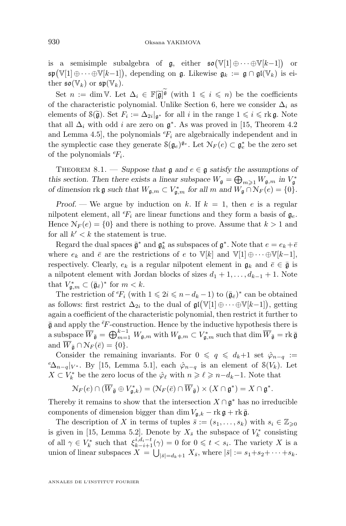is a semisimple subalgebra of  $\mathfrak{g}$ , either  $\mathfrak{so}(\mathbb{V}[1]\oplus\cdots\oplus\mathbb{V}[k-1])$  or  $\mathfrak{sp}(\mathbb{V}[1]\oplus\cdots\oplus\mathbb{V}[k-1]),$  depending on  $\mathfrak{g}.$  Likewise  $\mathfrak{g}_k := \mathfrak{g}\cap\mathfrak{gl}(\mathbb{V}_k)$  is either  $\mathfrak{so}(\mathbb{V}_k)$  or  $\mathfrak{sp}(\mathbb{V}_k)$ .

Set  $n := \dim V$ . Let  $\Delta_i \in \mathbb{F}[\tilde{\mathfrak{g}}]^{\mathfrak{g}}$  (with  $1 \leq i \leq n$ ) be the coefficients of the characteristic polynomial. Unlike Section [6,](#page-19-0) here we consider  $\Delta_i$  as elements of  $\mathcal{S}(\tilde{\mathfrak{g}})$ . Set  $F_i := \Delta_{2i}|_{\mathfrak{g}^*}$  for all i in the range  $1 \leq i \leq \text{rk } \mathfrak{g}$ . Note that all  $\Delta_i$  with odd *i* are zero on  $\mathfrak{g}^*$ . As was proved in [\[15,](#page-32-0) Theorem 4.2] and Lemma 4.5, the polynomials  ${}^eF_i$  are algebraically independent and in the symplectic case they generate  $\mathcal{S}(\mathfrak{g}_e)^{\mathfrak{g}_e}$ . Let  $\mathcal{N}_F(e) \subset \mathfrak{g}_e^*$  be the zero set of the polynomials  ${}^e\!F_i$ .

THEOREM 8.1. — *Suppose that*  $\mathfrak{g}$  and  $e \in \mathfrak{g}$  *satisfy the assumptions of this section. Then there exists a linear subspace*  $W_{\mathfrak{g}} = \bigoplus_{m \geq 1} W_{\mathfrak{g},m}$  *in*  $V_{\mathfrak{g}}^*$ *of dimension*  $\text{rk } \mathfrak{g}$  *such that*  $W_{\mathfrak{g},m} \subset V_{\mathfrak{g},m}^*$  *for all*  $m$  *and*  $W_{\mathfrak{g}} \cap N_F(e) = \{0\}.$ 

*Proof.* — We argue by induction on k. If  $k = 1$ , then e is a regular nilpotent element, all  ${}^e\!F_i$  are linear functions and they form a basis of  $\mathfrak{g}_e$ . Hence  $\mathcal{N}_F(e) = \{0\}$  and there is nothing to prove. Assume that  $k > 1$  and for all  $k' < k$  the statement is true.

Regard the dual spaces  $\bar{\mathfrak{g}}^*$  and  $\mathfrak{g}_k^*$  as subspaces of  $\mathfrak{g}^*$ . Note that  $e = e_k + \bar{e}$ where  $e_k$  and  $\bar{e}$  are the restrictions of e to  $\mathbb{V}[k]$  and  $\mathbb{V}[1] \oplus \cdots \oplus \mathbb{V}[k-1]$ , respectively. Clearly,  $e_k$  is a regular nilpotent element in  $\mathfrak{g}_k$  and  $\bar{e} \in \bar{\mathfrak{g}}$  is a nilpotent element with Jordan blocks of sizes  $d_1 + 1, \ldots, d_{k-1} + 1$ . Note that  $V_{\mathfrak{g},m}^* \subset (\bar{\mathfrak{g}}_{\bar{e}})^*$  for  $m < k$ .

The restriction of  ${}^eF_i$  (with  $1 \leqslant 2i \leqslant n-d_k-1$ ) to  $(\bar{\mathfrak{g}}_{\bar{e}})^*$  can be obtained as follows: first restrict  $\Delta_{2i}$  to the dual of  $\mathfrak{gl}(\mathbb{V}[1]\oplus\cdots\oplus\mathbb{V}[k-1])$ , getting again a coefficient of the characteristic polynomial, then restrict it further to  $\bar{\mathfrak{g}}$  and apply the  $\bar{e}F$ -construction. Hence by the inductive hypothesis there is a subspace  $\overline{W}_{\bar{\mathfrak g}}=\bigoplus_{m=1}^{k-1} W_{\mathfrak g,m}$  with  $W_{\mathfrak g,m}\subset V_{\mathfrak g,m}^*$  such that  $\dim \overline{W}_{\bar{\mathfrak g}}= \mathop{\mathrm{rk}} \bar{\mathfrak g}$ and  $\overline{W}_{\overline{\mathfrak{g}}} \cap \mathcal{N}_F(\overline{e}) = \{0\}.$ 

Consider the remaining invariants. For  $0 \leq q \leq d_k+1$  set  $\hat{\varphi}_{n-q}$  :=  $e\Delta_{n-q}|_{V^*}$ . By [\[15,](#page-32-0) Lemma 5.1], each  $\hat{\varphi}_{n-q}$  is an element of  $\mathcal{S}(V_k)$ . Let  $X \subset V_k^*$  be the zero locus of the  $\hat{\varphi}_{\ell}$  with  $n \geqslant \ell \geqslant n-d_k-1$ . Note that

$$
\mathcal{N}_F(e) \cap (\overline{W}_{\overline{\mathfrak{g}}} \oplus V_{\mathfrak{g},k}^*) = (\mathcal{N}_F(\overline{e}) \cap \overline{W}_{\overline{\mathfrak{g}}}) \times (X \cap \mathfrak{g}^*) = X \cap \mathfrak{g}^*.
$$

Thereby it remains to show that the intersection  $X \cap \mathfrak{g}^*$  has no irreducible components of dimension bigger than dim  $V_{\mathfrak{a},k} - \text{rk } \mathfrak{g} + \text{rk } \bar{\mathfrak{g}}$ .

The description of X in terms of tuples  $\bar{s} := (s_1, \ldots, s_k)$  with  $s_i \in \mathbb{Z}_{\geqslant 0}$ is given in [\[15,](#page-32-0) Lemma 5.2]. Denote by  $X_{\bar{s}}$  the subspace of  $V_k^*$  consisting k of all  $\gamma \in V_k^*$  such that  $\xi_{k-i+1}^{i,d_i-t}(\gamma) = 0$  for  $0 \leqslant t < s_i$ . The variety X is a union of linear subspaces  $X = \bigcup_{|\bar{s}| = d_k + 1} X_{\bar{s}}$ , where  $|\bar{s}| := s_1 + s_2 + \cdots + s_k$ .

ANNALES DE L'INSTITUT FOURIER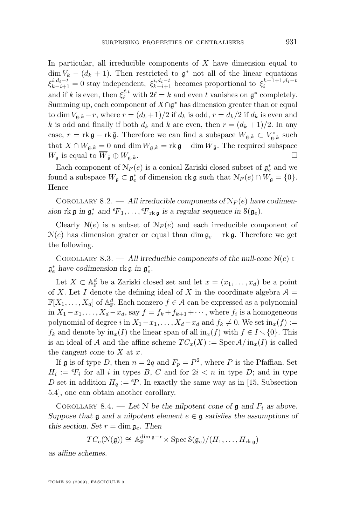In particular, all irreducible components of  $X$  have dimension equal to  $\dim V_k - (d_k + 1)$ . Then restricted to  $\mathfrak{g}^*$  not all of the linear equations  $\xi_{k-i+1}^{i,d_i-t} = 0$  stay independent,  $\xi_{k-i+1}^{i,d_i-t}$  becomes proportional to  $\xi_i^{k-1+1,d_i-t}$ and if k is even, then  $\xi_{\ell}^{\ell,t}$  with  $2\ell = k$  and even t vanishes on  $\mathfrak{g}^*$  completely. Summing up, each component of  $X \cap \mathfrak{g}^*$  has dimension greater than or equal to dim  $V_{a,k} - r$ , where  $r = (d_k + 1)/2$  if  $d_k$  is odd,  $r = d_k/2$  if  $d_k$  is even and k is odd and finally if both  $d_k$  and k are even, then  $r = (d_k + 1)/2$ . In any case,  $r = \text{rk } \mathfrak{g} - \text{rk } \bar{\mathfrak{g}}$ . Therefore we can find a subspace  $W_{\mathfrak{g},k} \subset V_{\mathfrak{g},k}^*$  such that  $X \cap W_{\mathfrak{g},k} = 0$  and dim  $W_{\mathfrak{g},k} = \text{rk } \mathfrak{g} - \dim \overline{W}_{\overline{\mathfrak{g}}}$ . The required subspace  $W_{\mathfrak{g}}$  is equal to  $\overline{W}_{\overline{\mathfrak{g}}} \oplus W_{\mathfrak{g},k}$ .

Each component of  $\mathcal{N}_F(e)$  is a conical Zariski closed subset of  $\mathfrak{g}_e^*$  and we found a subspace  $W_{\mathfrak{g}} \subset \mathfrak{g}_e^*$  of dimension rk  $\mathfrak{g}$  such that  $\mathcal{N}_F(e) \cap W_{\mathfrak{g}} = \{0\}.$ Hence

COROLLARY 8.2. — All irreducible components of  $N_F(e)$  have codimension  $rk \mathfrak{g}$  in  $\mathfrak{g}_e^*$  and  ${}^eF_1, \ldots, {}^eF_{rk \mathfrak{g}}$  is a regular sequence in  $\mathfrak{S}(\mathfrak{g}_e)$ .

Clearly  $N(e)$  is a subset of  $N_F(e)$  and each irreducible component of  $N(e)$  has dimension grater or equal than dim  $\mathfrak{g}_e$  – rk g. Therefore we get the following.

COROLLARY 8.3. — All irreducible components of the null-cone  $\mathcal{N}(e) \subset$  $\mathfrak{g}_e^*$  have codimension rk  $\mathfrak{g}$  in  $\mathfrak{g}_e^*$ .

Let  $X \subset \mathbb{A}_{\mathbb{F}}^d$  be a Zariski closed set and let  $x = (x_1, \ldots, x_d)$  be a point of X. Let I denote the defining ideal of X in the coordinate algebra  $A =$  $\mathbb{F}[X_1,\ldots,X_d]$  of  $\mathbb{A}^d_{\mathbb{F}}$ . Each nonzero  $f \in \mathcal{A}$  can be expressed as a polynomial in  $X_1-x_1,\ldots,X_d-x_d$ , say  $f = f_k+f_{k+1}+\cdots$ , where  $f_i$  is a homogeneous polynomial of degree i in  $X_1-x_1, \ldots, X_d-x_d$  and  $f_k \neq 0$ . We set  $\text{in}_x(f) :=$  $f_k$  and denote by  $\text{in}_x(I)$  the linear span of all  $\text{in}_x(f)$  with  $f \in I \setminus \{0\}$ . This is an ideal of A and the affine scheme  $TC_x(X) := \text{Spec } \mathcal{A}/\text{in}_x(I)$  is called the *tangent cone* to X at x.

If **g** is of type D, then  $n = 2q$  and  $F_p = P^2$ , where P is the Pfaffian. Set  $H_i := {}^e F_i$  for all i in types B, C and for  $2i < n$  in type D; and in type D set in addition  $H_q := P$ . In exactly the same way as in [\[15,](#page-32-0) Subsection 5.4], one can obtain another corollary.

COROLLARY 8.4. — Let N be the nilpotent cone of  $\mathfrak g$  and  $F_i$  as above. *Suppose that*  $\mathfrak g$  *and a nilpotent element*  $e \in \mathfrak g$  *satisfies the assumptions of this section. Set*  $r = \dim \mathfrak{g}_e$ . Then

$$
TC_e(\mathcal{N}(\mathfrak{g})) \cong \mathbb{A}_\mathbb{F}^{\dim \mathfrak{g}-r} \times \operatorname{Spec} \mathcal{S}(\mathfrak{g}_e)/(H_1,\ldots,H_{\operatorname{rk} \mathfrak{g}})
$$

*as affine schemes.*

TOME 59 (2009), FASCICULE 3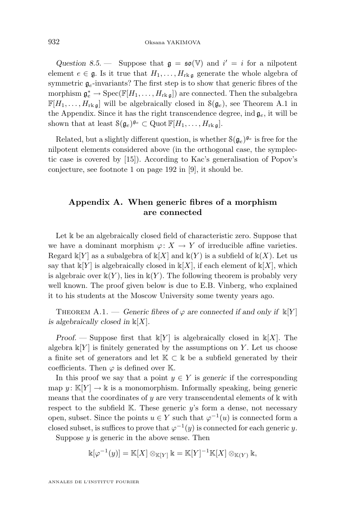<span id="page-30-0"></span>Question 8.5. – Suppose that  $\mathfrak{g} = \mathfrak{so}(\mathbb{V})$  and  $i' = i$  for a nilpotent element  $e \in \mathfrak{g}$ . Is it true that  $H_1, \ldots, H_{rk}$  generate the whole algebra of symmetric  $g_e$ -invariants? The first step is to show that generic fibres of the morphism  $\mathfrak{g}_e^* \to \operatorname{Spec}(\mathbb{F}[H_1,\ldots,H_{\operatorname{rk} \mathfrak{g}}])$  are connected. Then the subalgebra  $\mathbb{F}[H_1,\ldots,H_{\text{rk}\,\mathfrak{g}}]$  will be algebraically closed in  $\mathcal{S}(\mathfrak{g}_e)$ , see Theorem A.1 in the Appendix. Since it has the right transcendence degree, ind  $\mathfrak{g}_e$ , it will be shown that at least  $\mathcal{S}(\mathfrak{g}_e)^{\mathfrak{g}_e} \subset \text{Quot }\mathbb{F}[H_1,\ldots,H_{\text{rk}\,\mathfrak{g}}].$ 

Related, but a slightly different question, is whether  $\mathcal{S}(\mathfrak{g}_e)^{\mathfrak{g}_e}$  is free for the nilpotent elements considered above (in the orthogonal case, the symplectic case is covered by [\[15\]](#page-32-0)). According to Kac's generalisation of Popov's conjecture, see footnote 1 on page 192 in [\[9\]](#page-32-0), it should be.

#### **Appendix A. When generic fibres of a morphism are connected**

Let k be an algebraically closed field of characteristic zero. Suppose that we have a dominant morphism  $\varphi: X \to Y$  of irreducible affine varieties. Regard  $\mathbb{k}[Y]$  as a subalgebra of  $\mathbb{k}[X]$  and  $\mathbb{k}(Y)$  is a subfield of  $\mathbb{k}(X)$ . Let us say that  $\mathbb{k}[Y]$  is algebraically closed in  $\mathbb{k}[X]$ , if each element of  $\mathbb{k}[X]$ , which is algebraic over  $\mathbb{k}(Y)$ , lies in  $\mathbb{k}(Y)$ . The following theorem is probably very well known. The proof given below is due to E.B. Vinberg, who explained it to his students at the Moscow University some twenty years ago.

THEOREM A.1. — *Generic fibres of*  $\varphi$  *are connected if and only if*  $\mathbb{K}[Y]$ *is algebraically closed in* k[X]*.*

*Proof.* — Suppose first that  $\mathbb{k}[Y]$  is algebraically closed in  $\mathbb{k}[X]$ . The algebra  $\mathbb{K}[Y]$  is finitely generated by the assumptions on Y. Let us choose a finite set of generators and let  $K \subset \mathbb{k}$  be a subfield generated by their coefficients. Then  $\varphi$  is defined over K.

In this proof we say that a point  $y \in Y$  is *generic* if the corresponding map  $y: K[Y] \to \mathbb{k}$  is a monomorphism. Informally speaking, being generic means that the coordinates of y are very transcendental elements of  $\mathbbk$  with respect to the subfield  $K$ . These generic y's form a dense, not necessary open, subset. Since the points  $u \in Y$  such that  $\varphi^{-1}(u)$  is connected form a closed subset, is suffices to prove that  $\varphi^{-1}(y)$  is connected for each generic y.

Suppose  $y$  is generic in the above sense. Then

$$
\Bbbk[\varphi^{-1}(y)]=\Bbb K[X]\otimes_{\Bbb K[Y]}\Bbbk=\Bbb K[Y]^{-1}\Bbb K[X]\otimes_{\Bbb K(Y)}\Bbbk,
$$

ANNALES DE L'INSTITUT FOURIER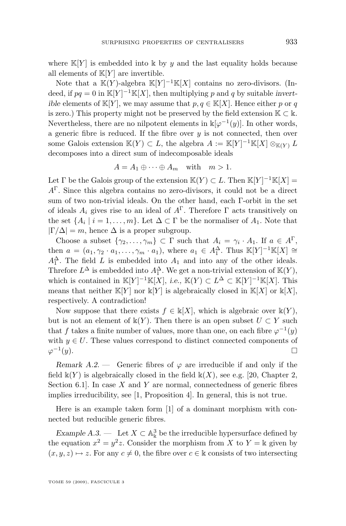where  $\mathbb{K}[Y]$  is embedded into k by y and the last equality holds because all elements of  $\mathbb{K}[Y]$  are invertible.

Note that a  $\mathbb{K}(Y)$ -algebra  $\mathbb{K}[Y]^{-1}\mathbb{K}[X]$  contains no zero-divisors. (Indeed, if  $pq = 0$  in  $\mathbb{K}[Y]^{-1}\mathbb{K}[X]$ , then multiplying p and q by suitable *invertible* elements of  $K[Y]$ , we may assume that  $p, q \in K[X]$ . Hence either p or q is zero.) This property might not be preserved by the field extension  $K \subset \mathbb{k}$ . Nevertheless, there are no nilpotent elements in  $\mathbb{k}[\varphi^{-1}(y)]$ . In other words, a generic fibre is reduced. If the fibre over  $y$  is not connected, then over some Galois extension  $\mathbb{K}(Y) \subset L$ , the algebra  $A := \mathbb{K}[Y]^{-1}\mathbb{K}[X] \otimes_{\mathbb{K}(Y)} L$ decomposes into a direct sum of indecomposable ideals

$$
A = A_1 \oplus \cdots \oplus A_m \quad \text{with} \quad m > 1.
$$

Let  $\Gamma$  be the Galois group of the extension  $\mathbb{K}(Y) \subset L$ . Then  $\mathbb{K}[Y]^{-1}\mathbb{K}[X] =$  $A^{\Gamma}$ . Since this algebra contains no zero-divisors, it could not be a direct sum of two non-trivial ideals. On the other hand, each Γ-orbit in the set of ideals  $A_i$  gives rise to an ideal of  $A^{\Gamma}$ . Therefore  $\Gamma$  acts transitively on the set  $\{A_i \mid i = 1, \ldots, m\}$ . Let  $\Delta \subset \Gamma$  be the normaliser of  $A_1$ . Note that  $|\Gamma/\Delta| = m$ , hence  $\Delta$  is a proper subgroup.

Choose a subset  $\{\gamma_2,\ldots,\gamma_m\}\subset \Gamma$  such that  $A_i = \gamma_i \cdot A_1$ . If  $a \in A^{\Gamma}$ , then  $a = (a_1, \gamma_2 \cdot a_1, \ldots, \gamma_m \cdot a_1)$ , where  $a_1 \in A_1^{\Delta}$ . Thus  $\mathbb{K}[Y]^{-1}\mathbb{K}[X] \cong$  $A_1^{\Delta}$ . The field L is embedded into  $A_1$  and into any of the other ideals. Threfore  $L^{\Delta}$  is embedded into  $A_1^{\Delta}$ . We get a non-trivial extension of  $\mathbb{K}(Y)$ , which is contained in  $\mathbb{K}[Y]^{-1}\mathbb{K}[X]$ , *i.e.*,  $\mathbb{K}(Y) \subset L^{\Delta} \subset \mathbb{K}[Y]^{-1}\mathbb{K}[X]$ . This means that neither  $\mathbb{K}[Y]$  nor  $\mathbb{K}[Y]$  is algebraically closed in  $\mathbb{K}[X]$  or  $\mathbb{K}[X]$ , respectively. A contradiction!

Now suppose that there exists  $f \in \mathbb{k}[X]$ , which is algebraic over  $\mathbb{k}(Y)$ , but is not an element of  $\mathbb{k}(Y)$ . Then there is an open subset  $U \subset Y$  such that f takes a finite number of values, more than one, on each fibre  $\varphi^{-1}(y)$ with  $y \in U$ . These values correspond to distinct connected components of  $\varphi^{-1}$  $(y).$ 

*Remark A.2.* — Generic fibres of  $\varphi$  are irreducible if and only if the field  $\mathbb{k}(Y)$  is algebraically closed in the field  $\mathbb{k}(X)$ , see e.g. [\[20,](#page-32-0) Chapter 2, Section 6.1. In case  $X$  and  $Y$  are normal, connectedness of generic fibres implies irreducibility, see [\[1,](#page-32-0) Proposition 4]. In general, this is not true.

Here is an example taken form [\[1\]](#page-32-0) of a dominant morphism with connected but reducible generic fibres.

*Example A.3.* — Let  $X \subset \mathbb{A}^3$  be the irreducible hypersurface defined by the equation  $x^2 = y^2 z$ . Consider the morphism from X to  $Y = \mathbb{k}$  given by  $(x, y, z) \mapsto z$ . For any  $c \neq 0$ , the fibre over  $c \in \mathbb{k}$  consists of two intersecting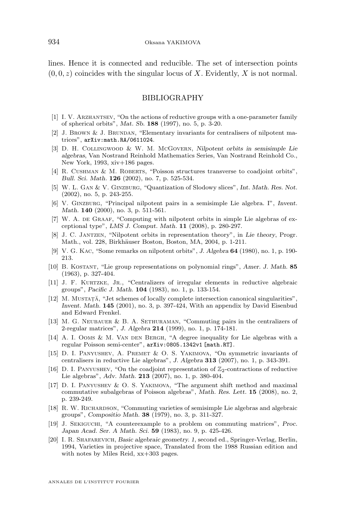<span id="page-32-0"></span>lines. Hence it is connected and reducible. The set of intersection points  $(0, 0, z)$  coincides with the singular locus of X. Evidently, X is not normal.

#### BIBLIOGRAPHY

- [1] I. V. Arzhantsev, "On the actions of reductive groups with a one-parameter family of spherical orbits", *Mat. Sb.* **188** (1997), no. 5, p. 3-20.
- [2] J. Brown & J. Brundan, "Elementary invariants for centralisers of nilpotent matrices", arXiv:math.RA/0611024.
- [3] D. H. Collingwood & W. M. McGovern, *Nilpotent orbits in semisimple Lie algebras*, Van Nostrand Reinhold Mathematics Series, Van Nostrand Reinhold Co., New York, 1993, xiv+186 pages.
- [4] R. CUSHMAN & M. ROBERTS, "Poisson structures transverse to coadjoint orbits", *Bull. Sci. Math.* **126** (2002), no. 7, p. 525-534.
- [5] W. L. Gan & V. Ginzburg, "Quantization of Slodowy slices", *Int. Math. Res. Not.* (2002), no. 5, p. 243-255.
- [6] V. Ginzburg, "Principal nilpotent pairs in a semisimple Lie algebra. I", *Invent. Math.* **140** (2000), no. 3, p. 511-561.
- [7] W. A. DE GRAAF, "Computing with nilpotent orbits in simple Lie algebras of exceptional type", *LMS J. Comput. Math.* **11** (2008), p. 280-297.
- [8] J. C. Jantzen, "Nilpotent orbits in representation theory", in *Lie theory*, Progr. Math., vol. 228, Birkhäuser Boston, Boston, MA, 2004, p. 1-211.
- [9] V. G. Kac, "Some remarks on nilpotent orbits", *J. Algebra* **64** (1980), no. 1, p. 190- 213.
- [10] B. Kostant, "Lie group representations on polynomial rings", *Amer. J. Math.* **85** (1963), p. 327-404.
- [11] J. F. KURTZKE, JR., "Centralizers of irregular elements in reductive algebraic groups", *Pacific J. Math.* **104** (1983), no. 1, p. 133-154.
- [12] M. MUSTAȚĂ, "Jet schemes of locally complete intersection canonical singularities", *Invent. Math.* **145** (2001), no. 3, p. 397-424, With an appendix by David Eisenbud and Edward Frenkel.
- [13] M. G. Neubauer & B. A. Sethuraman, "Commuting pairs in the centralizers of 2-regular matrices", *J. Algebra* **214** (1999), no. 1, p. 174-181.
- [14] A. I. OOMS & M. VAN DEN BERGH, "A degree inequality for Lie algebras with a regular Poisson semi-center", arXiv:0805.1342v1 [math.RT].
- [15] D. I. PANYUSHEV, A. PREMET & O. S. YAKIMOVA, "On symmetric invariants of centralisers in reductive Lie algebras", *J. Algebra* **313** (2007), no. 1, p. 343-391.
- [16] D. I. PANYUSHEV, "On the coadjoint representation of  $\mathbb{Z}_2$ -contractions of reductive Lie algebras", *Adv. Math.* **213** (2007), no. 1, p. 380-404.
- [17] D. I. Panyushev & O. S. Yakimova, "The argument shift method and maximal commutative subalgebras of Poisson algebras", *Math. Res. Lett.* **15** (2008), no. 2, p. 239-249.
- [18] R. W. RICHARDSON, "Commuting varieties of semisimple Lie algebras and algebraic groups", *Compositio Math.* **38** (1979), no. 3, p. 311-327.
- [19] J. Sekiguchi, "A counterexample to a problem on commuting matrices", *Proc. Japan Acad. Ser. A Math. Sci.* **59** (1983), no. 9, p. 425-426.
- [20] I. R. Shafarevich, *Basic algebraic geometry. 1*, second ed., Springer-Verlag, Berlin, 1994, Varieties in projective space, Translated from the 1988 Russian edition and with notes by Miles Reid, xx+303 pages.